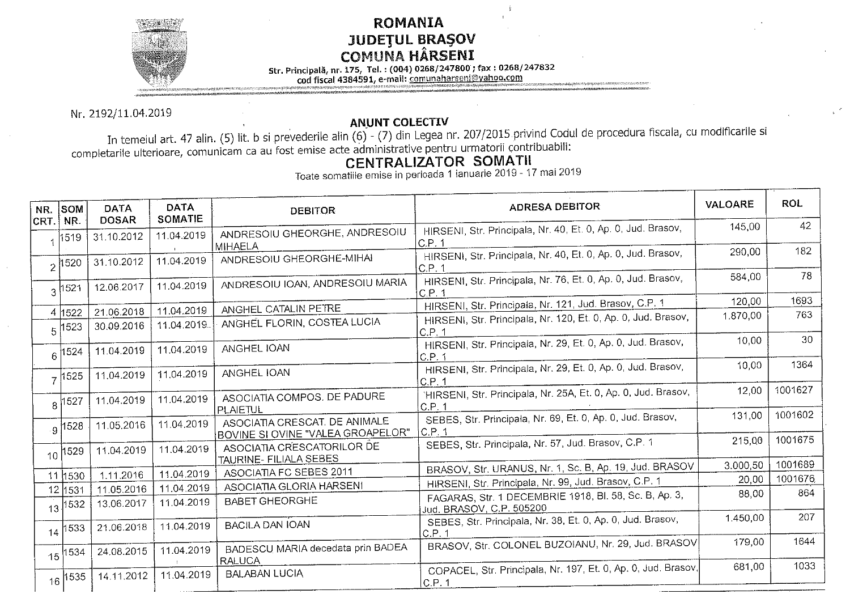## **ROMANIA JUDEȚUL BRAȘOV<br>COMUNA HÂRSENI**

Str. Principală, nr. 175, Tel.: (004) 0268/247800; fax: 0268/247832

cod físcal 4384591, e-mail: comunaharseni@yahoo.com

Nr. 2192/11.04.2019

## **ANUNT COLECTIV**

In temeiul art. 47 alin. (5) lit. b si prevederile alin (6) - (7) din Legea nr. 207/2015 privind Codul de procedura fiscala, cu modificarile si completarile ulterioare, comunicam ca au fost emise acte administrative pentru urmatorii contribuabili:

## **CENTRALIZATOR SOMATII**

Toate somatiile emise in perioada 1 ianuarie 2019 - 17 mai 2019

| NR.  | <b>SOM</b>         | <b>DATA</b><br><b>DOSAR</b> | <b>DATA</b><br><b>SOMATIE</b> | <b>DEBITOR</b>                                                     | <b>ADRESA DEBITOR</b>                                                             | VALOARE  | <b>ROL</b> |
|------|--------------------|-----------------------------|-------------------------------|--------------------------------------------------------------------|-----------------------------------------------------------------------------------|----------|------------|
| CRT. | NR.<br>1519        | 31.10.2012                  | 11.04.2019                    | ANDRESOIU GHEORGHE, ANDRESOIU<br><b>MIHAELA</b>                    | HIRSENI, Str. Principala, Nr. 40, Et. 0, Ap. 0, Jud. Brasov,<br>C.P.1             | 145,00   | 42         |
|      | 2 1520             | 31.10.2012                  | 11.04.2019                    | ANDRESOIU GHEORGHE-MIHAI                                           | HIRSENI, Str. Principala, Nr. 40, Et. 0, Ap. 0, Jud. Brasov,<br> C.P. 1           | 290,00   | 182        |
|      | $3^{1521}$         | 12.06.2017                  | 11.04.2019                    | ANDRESOIU IOAN, ANDRESOIU MARIA                                    | HIRSENI, Str. Principala, Nr. 76, Et. 0, Ap. 0, Jud. Brasov,<br>IC.P. 1           | 584.00   | 78         |
|      |                    |                             |                               | ANGHEL CATALIN PETRE                                               | HIRSENI, Str. Principala, Nr. 121, Jud. Brasov, C.P. 1                            | 120,00   | 1693       |
|      | 4 1522             | 21.06.2018                  | 11.04.2019<br>11.04.2019.     | ANGHEL FLORIN, COSTEA LUCIA                                        | HIRSENI, Str. Principala, Nr. 120, Et. 0, Ap. 0, Jud. Brasov,                     | 1.870,00 | 763        |
|      | $5^{1523}$         | 30.09.2016                  |                               |                                                                    | C.P. 1                                                                            |          | 30         |
|      | $6$ 1524           | 11.04.2019                  | 11.04.2019                    | ANGHEL IOAN                                                        | HIRSENI, Str. Principala, Nr. 29, Et. 0, Ap. 0, Jud. Brasov,<br>C.P. 1            | 10,00    |            |
|      | $7^{1525}$         | 11.04.2019                  | 11.04.2019                    | ANGHEL IOAN                                                        | HIRSENI, Str. Principala, Nr. 29, Et. 0, Ap. 0, Jud. Brasov,<br>C.P.1             | 10,00    | 1364       |
|      | $8^{1527}$         | 11.04.2019                  | 11.04.2019                    | ASOCIATIA COMPOS. DE PADURE<br> PLAIETUL                           | 'HIRSENI, Str. Principala, Nr. 25A, Et. 0, Ap. 0, Jud. Brasov,<br>C.P.1           | 12,00    | 1001627    |
|      | .9 1528            | 11.05.2016                  | 11.04.2019                    | ASOCIATIA CRESCAT. DE ANIMALE<br>BOVINE SI OVINE "VALEA GROAPELOR" | SEBES, Str. Principala, Nr. 69, Et. 0, Ap. 0, Jud. Brasov,<br>C.P.1               | 131.00   | 1001602    |
|      | $10^{1529}$        | 11.04.2019                  | 11.04.2019                    | ASOCIATIA CRESCATORILOR DE<br>TAURINE- FILIALA SEBES               | SEBES, Str. Principala, Nr. 57, Jud. Brasov, C.P. 1                               | 215,00   | 1001675    |
|      |                    | 1.11.2016                   | 11.04.2019                    | ASOCIATIA FC SEBES 2011                                            | BRASOV, Str. URANUS, Nr. 1, Sc. B, Ap. 19, Jud. BRASOV                            | 3.000,50 | 1001689    |
|      | 11 1530            | 11.05.2016                  | 11.04.2019                    | ASOCIATIA GLORIA HARSENI                                           | HIRSENI, Str. Principala, Nr. 99, Jud. Brasov, C.P. 1                             | 20,00    | 1001676    |
|      | 12 1531<br>13 1532 | 13.06.2017                  | 11.04.2019                    | <b>BABET GHEORGHE</b>                                              | FAGARAS, Str. 1 DECEMBRIE 1918, Bl. 58, Sc. B, Ap. 3,<br>Jud. BRASOV, C.P. 505200 | 88,00    | 864        |
|      | 14 1533            | 21.06.2018                  | 11.04.2019                    | <b>BACILA DAN IOAN</b>                                             | SEBES, Str. Principala, Nr. 38, Et. 0, Ap. 0, Jud. Brasov,<br>IC.P. 1             | 1.450,00 | 207        |
|      | $15^{1534}$        | 24.08.2015                  | 11.04.2019                    | BADESCU MARIA decedata prin BADEA<br><b>RALUCA</b>                 | BRASOV, Str. COLONEL BUZOIANU, Nr. 29, Jud. BRASOV                                | 179,00   | 1644       |
|      | $16^{1535}$        | 14.11.2012                  | 11.04.2019                    | <b>BALABAN LUCIA</b>                                               | COPACEL, Str. Principala, Nr. 197, Et. 0, Ap. 0, Jud. Brasov,<br>C.P. 1           | 681,00   | 1033       |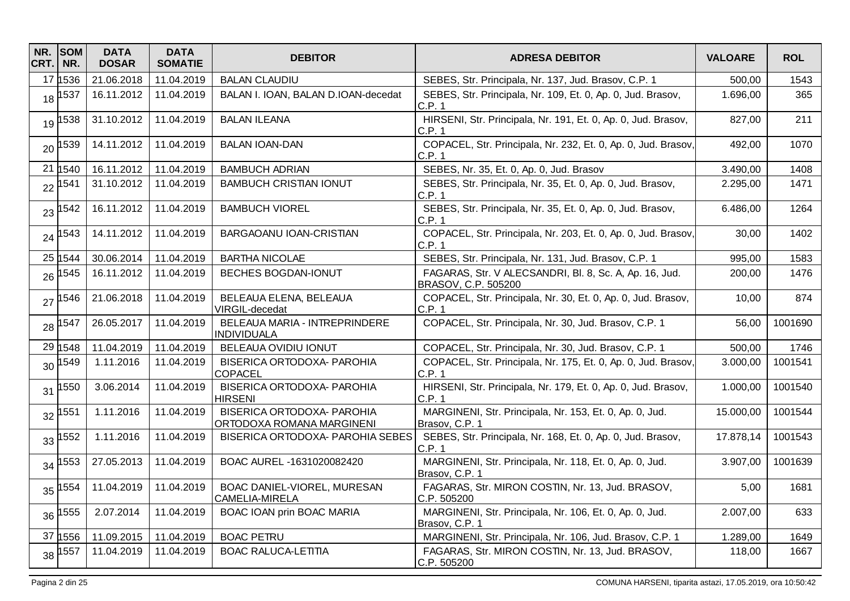| NR.<br>CRT. | <b>SOM</b><br>NR. | <b>DATA</b><br><b>DOSAR</b> | <b>DATA</b><br><b>SOMATIE</b> | <b>DEBITOR</b>                                                 | <b>ADRESA DEBITOR</b>                                                         | <b>VALOARE</b> | <b>ROL</b> |
|-------------|-------------------|-----------------------------|-------------------------------|----------------------------------------------------------------|-------------------------------------------------------------------------------|----------------|------------|
|             | 17 1536           | 21.06.2018                  | 11.04.2019                    | <b>BALAN CLAUDIU</b>                                           | SEBES, Str. Principala, Nr. 137, Jud. Brasov, C.P. 1                          | 500,00         | 1543       |
| 18          | 1537              | 16.11.2012                  | 11.04.2019                    | BALAN I. IOAN, BALAN D.IOAN-decedat                            | SEBES, Str. Principala, Nr. 109, Et. 0, Ap. 0, Jud. Brasov,<br>C.P. 1         | 1.696,00       | 365        |
| 19          | 1538              | 31.10.2012                  | 11.04.2019                    | <b>BALAN ILEANA</b>                                            | HIRSENI, Str. Principala, Nr. 191, Et. 0, Ap. 0, Jud. Brasov,<br>C.P. 1       | 827,00         | 211        |
| 20          | 1539              | 14.11.2012                  | 11.04.2019                    | <b>BALAN IOAN-DAN</b>                                          | COPACEL, Str. Principala, Nr. 232, Et. 0, Ap. 0, Jud. Brasov,<br>C.P. 1       | 492,00         | 1070       |
| 21          | 1540              | 16.11.2012                  | 11.04.2019                    | <b>BAMBUCH ADRIAN</b>                                          | SEBES, Nr. 35, Et. 0, Ap. 0, Jud. Brasov                                      | 3.490,00       | 1408       |
| 22          | 541               | 31.10.2012                  | 11.04.2019                    | <b>BAMBUCH CRISTIAN IONUT</b>                                  | SEBES, Str. Principala, Nr. 35, Et. 0, Ap. 0, Jud. Brasov,<br>C.P. 1          | 2.295,00       | 1471       |
| 23          | 542               | 16.11.2012                  | 11.04.2019                    | <b>BAMBUCH VIOREL</b>                                          | SEBES, Str. Principala, Nr. 35, Et. 0, Ap. 0, Jud. Brasov,<br>C.P.1           | 6.486,00       | 1264       |
| 24          | 1543              | 14.11.2012                  | 11.04.2019                    | BARGAOANU IOAN-CRISTIAN                                        | COPACEL, Str. Principala, Nr. 203, Et. 0, Ap. 0, Jud. Brasov,<br>C.P. 1       | 30,00          | 1402       |
|             | 25 1544           | 30.06.2014                  | 11.04.2019                    | <b>BARTHA NICOLAE</b>                                          | SEBES, Str. Principala, Nr. 131, Jud. Brasov, C.P. 1                          | 995,00         | 1583       |
| 26          | 545               | 16.11.2012                  | 11.04.2019                    | BECHES BOGDAN-IONUT                                            | FAGARAS, Str. V ALECSANDRI, Bl. 8, Sc. A, Ap. 16, Jud.<br>BRASOV, C.P. 505200 | 200,00         | 1476       |
| 27          | 546               | 21.06.2018                  | 11.04.2019                    | BELEAUA ELENA, BELEAUA<br>VIRGIL-decedat                       | COPACEL, Str. Principala, Nr. 30, Et. 0, Ap. 0, Jud. Brasov,<br>C.P. 1        | 10,00          | 874        |
| 28          | 1547              | 26.05.2017                  | 11.04.2019                    | BELEAUA MARIA - INTREPRINDERE<br><b>INDIVIDUALA</b>            | COPACEL, Str. Principala, Nr. 30, Jud. Brasov, C.P. 1                         | 56,00          | 1001690    |
|             | 29 1548           | 11.04.2019                  | 11.04.2019                    | BELEAUA OVIDIU IONUT                                           | COPACEL, Str. Principala, Nr. 30, Jud. Brasov, C.P. 1                         | 500,00         | 1746       |
| 30          | 1549              | 1.11.2016                   | 11.04.2019                    | BISERICA ORTODOXA- PAROHIA<br>COPACEL                          | COPACEL, Str. Principala, Nr. 175, Et. 0, Ap. 0, Jud. Brasov,<br>C.P. 1       | 3.000,00       | 1001541    |
| 31          | 1550              | 3.06.2014                   | 11.04.2019                    | BISERICA ORTODOXA- PAROHIA<br><b>HIRSENI</b>                   | HIRSENI, Str. Principala, Nr. 179, Et. 0, Ap. 0, Jud. Brasov,<br>C.P. 1       | 1.000,00       | 1001540    |
| 32          | 1551              | 1.11.2016                   | 11.04.2019                    | <b>BISERICA ORTODOXA- PAROHIA</b><br>ORTODOXA ROMANA MARGINENI | MARGINENI, Str. Principala, Nr. 153, Et. 0, Ap. 0, Jud.<br>Brasov, C.P. 1     | 15.000,00      | 1001544    |
| 33          | 1552              | 1.11.2016                   | 11.04.2019                    | BISERICA ORTODOXA- PAROHIA SEBES                               | SEBES, Str. Principala, Nr. 168, Et. 0, Ap. 0, Jud. Brasov,<br>C.P. 1         | 17.878,14      | 1001543    |
| 34          | 553               | 27.05.2013                  | 11.04.2019                    | BOAC AUREL -1631020082420                                      | MARGINENI, Str. Principala, Nr. 118, Et. 0, Ap. 0, Jud.<br>Brasov, C.P. 1     | 3.907,00       | 1001639    |
| 35          | 1554              | 11.04.2019                  | 11.04.2019                    | BOAC DANIEL-VIOREL, MURESAN<br>CAMELIA-MIRELA                  | FAGARAS, Str. MIRON COSTIN, Nr. 13, Jud. BRASOV,<br>C.P. 505200               | 5,00           | 1681       |
| 36          | 1555              | 2.07.2014                   | 11.04.2019                    | BOAC IOAN prin BOAC MARIA                                      | MARGINENI, Str. Principala, Nr. 106, Et. 0, Ap. 0, Jud.<br>Brasov, C.P. 1     | 2.007,00       | 633        |
| 37          | 1556              | 11.09.2015                  | 11.04.2019                    | <b>BOAC PETRU</b>                                              | MARGINENI, Str. Principala, Nr. 106, Jud. Brasov, C.P. 1                      | 1.289,00       | 1649       |
|             | 38 1557           | 11.04.2019                  | 11.04.2019                    | <b>BOAC RALUCA-LETITIA</b>                                     | FAGARAS, Str. MIRON COSTIN, Nr. 13, Jud. BRASOV,<br>C.P. 505200               | 118,00         | 1667       |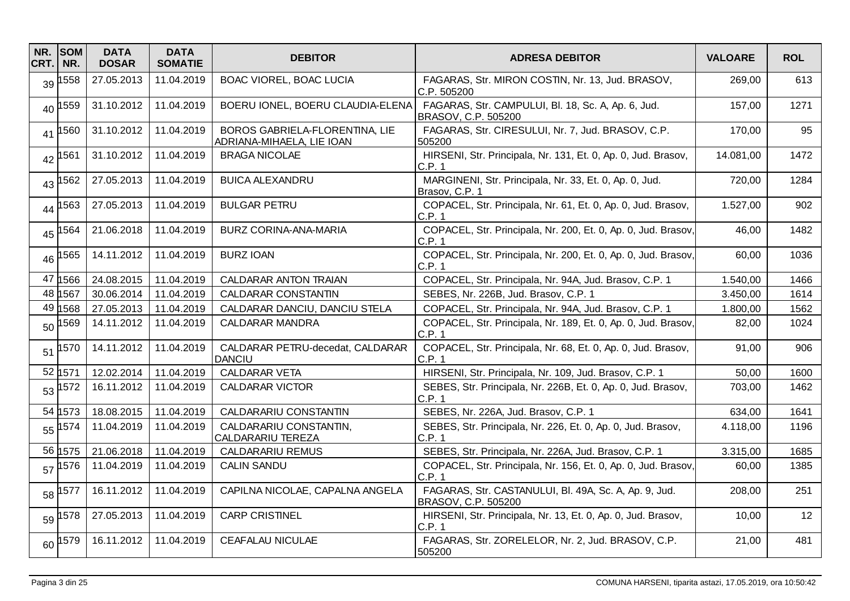| NR.<br>CRT. | <b>SOM</b><br>NR. | <b>DATA</b><br><b>DOSAR</b> | <b>DATA</b><br><b>SOMATIE</b> | <b>DEBITOR</b>                                              | <b>ADRESA DEBITOR</b>                                                        | <b>VALOARE</b> | <b>ROL</b> |
|-------------|-------------------|-----------------------------|-------------------------------|-------------------------------------------------------------|------------------------------------------------------------------------------|----------------|------------|
| 39          | 558               | 27.05.2013                  | 11.04.2019                    | BOAC VIOREL, BOAC LUCIA                                     | FAGARAS, Str. MIRON COSTIN, Nr. 13, Jud. BRASOV,<br>C.P. 505200              | 269,00         | 613        |
| 40          | 559               | 31.10.2012                  | 11.04.2019                    | BOERU IONEL, BOERU CLAUDIA-ELENA                            | FAGARAS, Str. CAMPULUI, Bl. 18, Sc. A, Ap. 6, Jud.<br>BRASOV, C.P. 505200    | 157,00         | 1271       |
| 41          | 1560              | 31.10.2012                  | 11.04.2019                    | BOROS GABRIELA-FLORENTINA, LIE<br>ADRIANA-MIHAELA, LIE IOAN | FAGARAS, Str. CIRESULUI, Nr. 7, Jud. BRASOV, C.P.<br>505200                  | 170,00         | 95         |
| 42          | 1561              | 31.10.2012                  | 11.04.2019                    | <b>BRAGA NICOLAE</b>                                        | HIRSENI, Str. Principala, Nr. 131, Et. 0, Ap. 0, Jud. Brasov,<br>C.P.1       | 14.081,00      | 1472       |
| 43          | 562               | 27.05.2013                  | 11.04.2019                    | <b>BUICA ALEXANDRU</b>                                      | MARGINENI, Str. Principala, Nr. 33, Et. 0, Ap. 0, Jud.<br>Brasov, C.P. 1     | 720,00         | 1284       |
| 44          | 563               | 27.05.2013                  | 11.04.2019                    | <b>BULGAR PETRU</b>                                         | COPACEL, Str. Principala, Nr. 61, Et. 0, Ap. 0, Jud. Brasov,<br>C.P. 1       | 1.527,00       | 902        |
| 45          | 564               | 21.06.2018                  | 11.04.2019                    | BURZ CORINA-ANA-MARIA                                       | COPACEL, Str. Principala, Nr. 200, Et. 0, Ap. 0, Jud. Brasov,<br>C.P.1       | 46,00          | 1482       |
| 46          | 1565              | 14.11.2012                  | 11.04.2019                    | <b>BURZ IOAN</b>                                            | COPACEL, Str. Principala, Nr. 200, Et. 0, Ap. 0, Jud. Brasov,<br>C.P.1       | 60,00          | 1036       |
| 47          | 1566              | 24.08.2015                  | 11.04.2019                    | CALDARAR ANTON TRAIAN                                       | COPACEL, Str. Principala, Nr. 94A, Jud. Brasov, C.P. 1                       | 1.540,00       | 1466       |
| 48          | 1567              | 30.06.2014                  | 11.04.2019                    | CALDARAR CONSTANTIN                                         | SEBES, Nr. 226B, Jud. Brasov, C.P. 1                                         | 3.450,00       | 1614       |
|             | 49 1568           | 27.05.2013                  | 11.04.2019                    | CALDARAR DANCIU, DANCIU STELA                               | COPACEL, Str. Principala, Nr. 94A, Jud. Brasov, C.P. 1                       | 1.800,00       | 1562       |
| 50          | 569               | 14.11.2012                  | 11.04.2019                    | <b>CALDARAR MANDRA</b>                                      | COPACEL, Str. Principala, Nr. 189, Et. 0, Ap. 0, Jud. Brasov,<br>C.P.1       | 82,00          | 1024       |
| 51          | 1570              | 14.11.2012                  | 11.04.2019                    | CALDARAR PETRU-decedat, CALDARAR<br><b>DANCIU</b>           | COPACEL, Str. Principala, Nr. 68, Et. 0, Ap. 0, Jud. Brasov,<br>C.P.1        | 91,00          | 906        |
|             | 52 1571           | 12.02.2014                  | 11.04.2019                    | <b>CALDARAR VETA</b>                                        | HIRSENI, Str. Principala, Nr. 109, Jud. Brasov, C.P. 1                       | 50,00          | 1600       |
| 53          | 572               | 16.11.2012                  | 11.04.2019                    | <b>CALDARAR VICTOR</b>                                      | SEBES, Str. Principala, Nr. 226B, Et. 0, Ap. 0, Jud. Brasov,<br>C.P. 1       | 703,00         | 1462       |
|             | 54 1573           | 18.08.2015                  | 11.04.2019                    | CALDARARIU CONSTANTIN                                       | SEBES, Nr. 226A, Jud. Brasov, C.P. 1                                         | 634,00         | 1641       |
| 55          | 574               | 11.04.2019                  | 11.04.2019                    | CALDARARIU CONSTANTIN,<br>CALDARARIU TEREZA                 | SEBES, Str. Principala, Nr. 226, Et. 0, Ap. 0, Jud. Brasov,<br>C.P. 1        | 4.118.00       | 1196       |
|             | 56 1575           | 21.06.2018                  | 11.04.2019                    | <b>CALDARARIU REMUS</b>                                     | SEBES, Str. Principala, Nr. 226A, Jud. Brasov, C.P. 1                        | 3.315,00       | 1685       |
| 57          | 1576              | 11.04.2019                  | 11.04.2019                    | <b>CALIN SANDU</b>                                          | COPACEL, Str. Principala, Nr. 156, Et. 0, Ap. 0, Jud. Brasov,<br>C.P.1       | 60,00          | 1385       |
| 58          | 1577              | 16.11.2012                  | 11.04.2019                    | CAPILNA NICOLAE, CAPALNA ANGELA                             | FAGARAS, Str. CASTANULUI, Bl. 49A, Sc. A, Ap. 9, Jud.<br>BRASOV, C.P. 505200 | 208,00         | 251        |
| 59          | 1578              | 27.05.2013                  | 11.04.2019                    | <b>CARP CRISTINEL</b>                                       | HIRSENI, Str. Principala, Nr. 13, Et. 0, Ap. 0, Jud. Brasov,<br>C.P. 1       | 10,00          | 12         |
|             | 60 1579           | 16.11.2012                  | 11.04.2019                    | <b>CEAFALAU NICULAE</b>                                     | FAGARAS, Str. ZORELELOR, Nr. 2, Jud. BRASOV, C.P.<br>505200                  | 21,00          | 481        |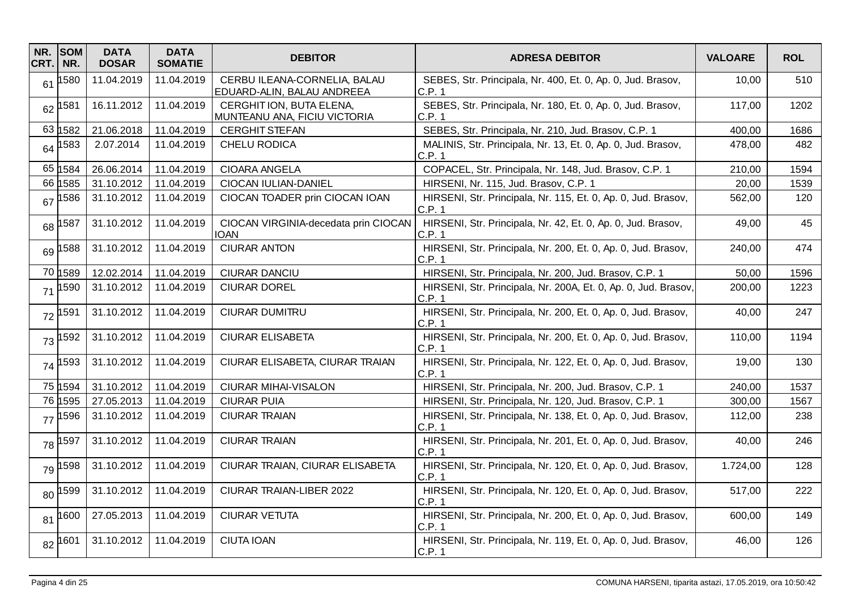| NR.<br>CRT. | <b>SOM</b><br>NR. | <b>DATA</b><br><b>DOSAR</b> | <b>DATA</b><br><b>SOMATIE</b> | <b>DEBITOR</b>                                             | <b>ADRESA DEBITOR</b>                                                    | <b>VALOARE</b> | <b>ROL</b> |
|-------------|-------------------|-----------------------------|-------------------------------|------------------------------------------------------------|--------------------------------------------------------------------------|----------------|------------|
| 61          | 580               | 11.04.2019                  | 11.04.2019                    | CERBU ILEANA-CORNELIA, BALAU<br>EDUARD-ALIN, BALAU ANDREEA | SEBES, Str. Principala, Nr. 400, Et. 0, Ap. 0, Jud. Brasov,<br>C.P.1     | 10,00          | 510        |
| 62          | 1581              | 16.11.2012                  | 11.04.2019                    | CERGHIT ION, BUTA ELENA,<br>MUNTEANU ANA, FICIU VICTORIA   | SEBES, Str. Principala, Nr. 180, Et. 0, Ap. 0, Jud. Brasov,<br>C.P. 1    | 117,00         | 1202       |
|             | 63 1582           | 21.06.2018                  | 11.04.2019                    | <b>CERGHIT STEFAN</b>                                      | SEBES, Str. Principala, Nr. 210, Jud. Brasov, C.P. 1                     | 400,00         | 1686       |
| 64          | 1583              | 2.07.2014                   | 11.04.2019                    | CHELU RODICA                                               | MALINIS, Str. Principala, Nr. 13, Et. 0, Ap. 0, Jud. Brasov,<br>C.P. 1   | 478,00         | 482        |
|             | 65 1584           | 26.06.2014                  | 11.04.2019                    | <b>CIOARA ANGELA</b>                                       | COPACEL, Str. Principala, Nr. 148, Jud. Brasov, C.P. 1                   | 210,00         | 1594       |
|             | 66 1585           | 31.10.2012                  | 11.04.2019                    | CIOCAN IULIAN-DANIEL                                       | HIRSENI, Nr. 115, Jud. Brasov, C.P. 1                                    | 20,00          | 1539       |
| 67          | 1586              | 31.10.2012                  | 11.04.2019                    | CIOCAN TOADER prin CIOCAN IOAN                             | HIRSENI, Str. Principala, Nr. 115, Et. 0, Ap. 0, Jud. Brasov,<br>C.P.1   | 562,00         | 120        |
| 68          | 1587              | 31.10.2012                  | 11.04.2019                    | CIOCAN VIRGINIA-decedata prin CIOCAN<br>IOAN               | HIRSENI, Str. Principala, Nr. 42, Et. 0, Ap. 0, Jud. Brasov,<br>C.P.1    | 49,00          | 45         |
| 69          | 588               | 31.10.2012                  | 11.04.2019                    | <b>CIURAR ANTON</b>                                        | HIRSENI, Str. Principala, Nr. 200, Et. 0, Ap. 0, Jud. Brasov,<br>C.P.1   | 240,00         | 474        |
|             | 70 1589           | 12.02.2014                  | 11.04.2019                    | <b>CIURAR DANCIU</b>                                       | HIRSENI, Str. Principala, Nr. 200, Jud. Brasov, C.P. 1                   | 50,00          | 1596       |
| 71          | 590               | 31.10.2012                  | 11.04.2019                    | <b>CIURAR DOREL</b>                                        | HIRSENI, Str. Principala, Nr. 200A, Et. 0, Ap. 0, Jud. Brasov,<br>C.P. 1 | 200,00         | 1223       |
| 72          | 1591              | 31.10.2012                  | 11.04.2019                    | <b>CIURAR DUMITRU</b>                                      | HIRSENI, Str. Principala, Nr. 200, Et. 0, Ap. 0, Jud. Brasov,<br>C.P.1   | 40,00          | 247        |
| 73          | 592               | 31.10.2012                  | 11.04.2019                    | <b>CIURAR ELISABETA</b>                                    | HIRSENI, Str. Principala, Nr. 200, Et. 0, Ap. 0, Jud. Brasov,<br>C.P.1   | 110,00         | 1194       |
|             | 74 1593           | 31.10.2012                  | 11.04.2019                    | CIURAR ELISABETA, CIURAR TRAIAN                            | HIRSENI, Str. Principala, Nr. 122, Et. 0, Ap. 0, Jud. Brasov,<br>C.P.1   | 19,00          | 130        |
|             | 75 1594           | 31.10.2012                  | 11.04.2019                    | <b>CIURAR MIHAI-VISALON</b>                                | HIRSENI, Str. Principala, Nr. 200, Jud. Brasov, C.P. 1                   | 240,00         | 1537       |
|             | 76 1595           | 27.05.2013                  | 11.04.2019                    | <b>CIURAR PUIA</b>                                         | HIRSENI, Str. Principala, Nr. 120, Jud. Brasov, C.P. 1                   | 300,00         | 1567       |
| 77          | 596               | 31.10.2012                  | 11.04.2019                    | <b>CIURAR TRAIAN</b>                                       | HIRSENI, Str. Principala, Nr. 138, Et. 0, Ap. 0, Jud. Brasov,<br>C.P. 1  | 112,00         | 238        |
| 78          | 597               | 31.10.2012                  | 11.04.2019                    | <b>CIURAR TRAIAN</b>                                       | HIRSENI, Str. Principala, Nr. 201, Et. 0, Ap. 0, Jud. Brasov,<br>C.P.1   | 40,00          | 246        |
| 79          | 1598              | 31.10.2012                  | 11.04.2019                    | CIURAR TRAIAN, CIURAR ELISABETA                            | HIRSENI, Str. Principala, Nr. 120, Et. 0, Ap. 0, Jud. Brasov,<br>C.P. 1  | 1.724,00       | 128        |
| 80          | 1599              | 31.10.2012                  | 11.04.2019                    | CIURAR TRAIAN-LIBER 2022                                   | HIRSENI, Str. Principala, Nr. 120, Et. 0, Ap. 0, Jud. Brasov,<br>C.P. 1  | 517,00         | 222        |
| 81          | 1600              | 27.05.2013                  | 11.04.2019                    | <b>CIURAR VETUTA</b>                                       | HIRSENI, Str. Principala, Nr. 200, Et. 0, Ap. 0, Jud. Brasov,<br>C.P.1   | 600,00         | 149        |
|             | 82 1601           | 31.10.2012                  | 11.04.2019                    | <b>CIUTA IOAN</b>                                          | HIRSENI, Str. Principala, Nr. 119, Et. 0, Ap. 0, Jud. Brasov,<br>C.P. 1  | 46,00          | 126        |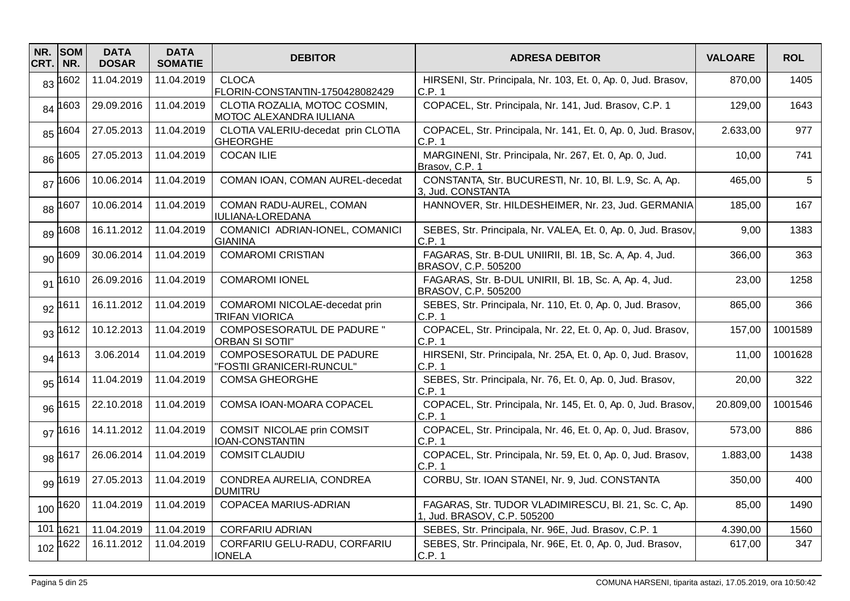| NR.<br>CRT. | <b>SOM</b><br>NR. | <b>DATA</b><br><b>DOSAR</b> | <b>DATA</b><br><b>SOMATIE</b> | <b>DEBITOR</b>                                           | <b>ADRESA DEBITOR</b>                                                               | <b>VALOARE</b> | <b>ROL</b> |
|-------------|-------------------|-----------------------------|-------------------------------|----------------------------------------------------------|-------------------------------------------------------------------------------------|----------------|------------|
| 83          | 1602              | 11.04.2019                  | 11.04.2019                    | <b>CLOCA</b><br>FLORIN-CONSTANTIN-1750428082429          | HIRSENI, Str. Principala, Nr. 103, Et. 0, Ap. 0, Jud. Brasov,<br>C.P.1              | 870,00         | 1405       |
| 84          | 1603              | 29.09.2016                  | 11.04.2019                    | CLOTIA ROZALIA, MOTOC COSMIN,<br>MOTOC ALEXANDRA IULIANA | COPACEL, Str. Principala, Nr. 141, Jud. Brasov, C.P. 1                              | 129,00         | 1643       |
| 85          | 1604              | 27.05.2013                  | 11.04.2019                    | CLOTIA VALERIU-decedat prin CLOTIA<br><b>GHEORGHE</b>    | COPACEL, Str. Principala, Nr. 141, Et. 0, Ap. 0, Jud. Brasov,<br>C.P.1              | 2.633,00       | 977        |
| 86          | 1605              | 27.05.2013                  | 11.04.2019                    | <b>COCAN ILIE</b>                                        | MARGINENI, Str. Principala, Nr. 267, Et. 0, Ap. 0, Jud.<br>Brasov, C.P. 1           | 10,00          | 741        |
| 87          | 1606              | 10.06.2014                  | 11.04.2019                    | COMAN IOAN, COMAN AUREL-decedat                          | CONSTANTA, Str. BUCURESTI, Nr. 10, Bl. L.9, Sc. A, Ap.<br>3, Jud. CONSTANTA         | 465,00         | 5          |
| 88          | 1607              | 10.06.2014                  | 11.04.2019                    | COMAN RADU-AUREL, COMAN<br><b>IULIANA-LOREDANA</b>       | HANNOVER, Str. HILDESHEIMER, Nr. 23, Jud. GERMANIA                                  | 185,00         | 167        |
| 89          | 1608              | 16.11.2012                  | 11.04.2019                    | COMANICI ADRIAN-IONEL, COMANICI<br><b>GIANINA</b>        | SEBES, Str. Principala, Nr. VALEA, Et. 0, Ap. 0, Jud. Brasov,<br>C.P. 1             | 9,00           | 1383       |
| 90          | 1609              | 30.06.2014                  | 11.04.2019                    | <b>COMAROMI CRISTIAN</b>                                 | FAGARAS, Str. B-DUL UNIIRII, Bl. 1B, Sc. A, Ap. 4, Jud.<br>BRASOV, C.P. 505200      | 366,00         | 363        |
| 91          | 1610              | 26.09.2016                  | 11.04.2019                    | <b>COMAROMI IONEL</b>                                    | FAGARAS, Str. B-DUL UNIRII, Bl. 1B, Sc. A, Ap. 4, Jud.<br>BRASOV, C.P. 505200       | 23,00          | 1258       |
| 92          | 1611              | 16.11.2012                  | 11.04.2019                    | COMAROMI NICOLAE-decedat prin<br><b>TRIFAN VIORICA</b>   | SEBES, Str. Principala, Nr. 110, Et. 0, Ap. 0, Jud. Brasov,<br>C.P. 1               | 865,00         | 366        |
| 93          | 1612              | 10.12.2013                  | 11.04.2019                    | COMPOSESORATUL DE PADURE "<br><b>ORBAN SI SOTII"</b>     | COPACEL, Str. Principala, Nr. 22, Et. 0, Ap. 0, Jud. Brasov,<br>C.P.1               | 157,00         | 1001589    |
| 94          | 1613              | 3.06.2014                   | 11.04.2019                    | COMPOSESORATUL DE PADURE<br>"FOSTII GRANICERI-RUNCUL"    | HIRSENI, Str. Principala, Nr. 25A, Et. 0, Ap. 0, Jud. Brasov,<br>C.P. 1             | 11,00          | 1001628    |
| 95          | 1614              | 11.04.2019                  | 11.04.2019                    | <b>COMSA GHEORGHE</b>                                    | SEBES, Str. Principala, Nr. 76, Et. 0, Ap. 0, Jud. Brasov,<br>C.P.1                 | 20,00          | 322        |
| 96          | 1615              | 22.10.2018                  | 11.04.2019                    | COMSA IOAN-MOARA COPACEL                                 | COPACEL, Str. Principala, Nr. 145, Et. 0, Ap. 0, Jud. Brasov,<br>C.P.1              | 20.809,00      | 1001546    |
| 97          | 1616              | 14.11.2012                  | 11.04.2019                    | COMSIT NICOLAE prin COMSIT<br><b>IOAN-CONSTANTIN</b>     | COPACEL, Str. Principala, Nr. 46, Et. 0, Ap. 0, Jud. Brasov,<br>C.P. 1              | 573,00         | 886        |
| 98          | 1617              | 26.06.2014                  | 11.04.2019                    | <b>COMSIT CLAUDIU</b>                                    | COPACEL, Str. Principala, Nr. 59, Et. 0, Ap. 0, Jud. Brasov,<br>C.P. 1              | 1.883,00       | 1438       |
| 99          | 1619              | 27.05.2013                  | 11.04.2019                    | CONDREA AURELIA, CONDREA<br><b>DUMITRU</b>               | CORBU, Str. IOAN STANEI, Nr. 9, Jud. CONSTANTA                                      | 350,00         | 400        |
| 100         | 1620              | 11.04.2019                  | 11.04.2019                    | COPACEA MARIUS-ADRIAN                                    | FAGARAS, Str. TUDOR VLADIMIRESCU, Bl. 21, Sc. C, Ap.<br>1, Jud. BRASOV, C.P. 505200 | 85,00          | 1490       |
| 101         | 1621              | 11.04.2019                  | 11.04.2019                    | <b>CORFARIU ADRIAN</b>                                   | SEBES, Str. Principala, Nr. 96E, Jud. Brasov, C.P. 1                                | 4.390,00       | 1560       |
| 102         | 1622              | 16.11.2012                  | 11.04.2019                    | CORFARIU GELU-RADU, CORFARIU<br><b>IONELA</b>            | SEBES, Str. Principala, Nr. 96E, Et. 0, Ap. 0, Jud. Brasov,<br>C.P. 1               | 617,00         | 347        |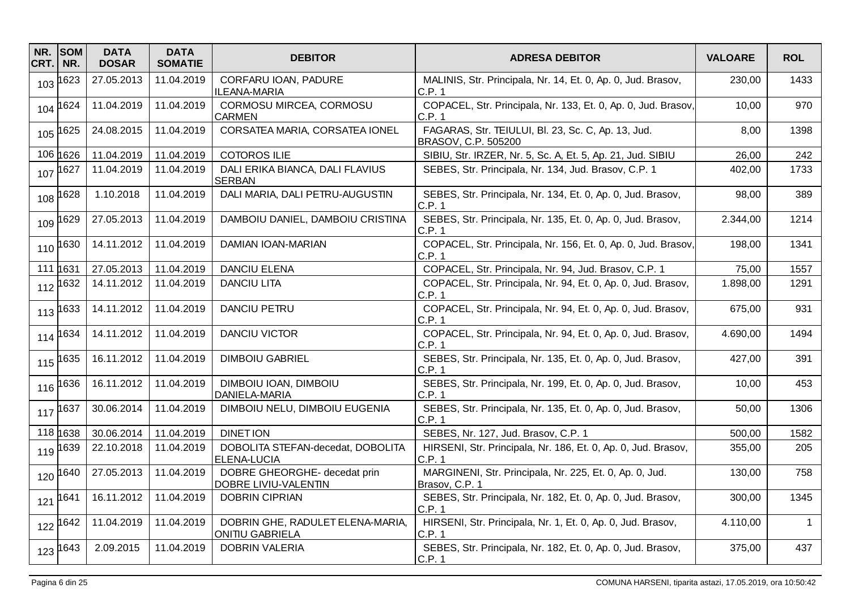| NR.<br>CRT. | <b>SOM</b><br>NR. | <b>DATA</b><br><b>DOSAR</b> | <b>DATA</b><br><b>SOMATIE</b> | <b>DEBITOR</b>                                       | <b>ADRESA DEBITOR</b>                                                     | <b>VALOARE</b> | <b>ROL</b>     |
|-------------|-------------------|-----------------------------|-------------------------------|------------------------------------------------------|---------------------------------------------------------------------------|----------------|----------------|
| 103         | 1623              | 27.05.2013                  | 11.04.2019                    | CORFARU IOAN, PADURE<br>ILEANA-MARIA                 | MALINIS, Str. Principala, Nr. 14, Et. 0, Ap. 0, Jud. Brasov,<br>C.P. 1    | 230,00         | 1433           |
| 104         | 1624              | 11.04.2019                  | 11.04.2019                    | CORMOSU MIRCEA, CORMOSU<br><b>CARMEN</b>             | COPACEL, Str. Principala, Nr. 133, Et. 0, Ap. 0, Jud. Brasov,<br>C.P. 1   | 10,00          | 970            |
|             | 105 1625          | 24.08.2015                  | 11.04.2019                    | CORSATEA MARIA, CORSATEA IONEL                       | FAGARAS, Str. TEIULUI, Bl. 23, Sc. C, Ap. 13, Jud.<br>BRASOV, C.P. 505200 | 8,00           | 1398           |
|             | 106 1626          | 11.04.2019                  | 11.04.2019                    | <b>COTOROS ILIE</b>                                  | SIBIU, Str. IRZER, Nr. 5, Sc. A, Et. 5, Ap. 21, Jud. SIBIU                | 26,00          | 242            |
|             | 107 1627          | 11.04.2019                  | 11.04.2019                    | DALI ERIKA BIANCA, DALI FLAVIUS<br><b>SERBAN</b>     | SEBES, Str. Principala, Nr. 134, Jud. Brasov, C.P. 1                      | 402,00         | 1733           |
| 108         | 1628              | 1.10.2018                   | 11.04.2019                    | DALI MARIA, DALI PETRU-AUGUSTIN                      | SEBES, Str. Principala, Nr. 134, Et. 0, Ap. 0, Jud. Brasov,<br>C.P.1      | 98,00          | 389            |
|             | 109 1629          | 27.05.2013                  | 11.04.2019                    | DAMBOIU DANIEL, DAMBOIU CRISTINA                     | SEBES, Str. Principala, Nr. 135, Et. 0, Ap. 0, Jud. Brasov,<br>C.P.1      | 2.344,00       | 1214           |
| 110         | 1630              | 14.11.2012                  | 11.04.2019                    | DAMIAN IOAN-MARIAN                                   | COPACEL, Str. Principala, Nr. 156, Et. 0, Ap. 0, Jud. Brasov,<br>C.P. 1   | 198,00         | 1341           |
|             | 111 1631          | 27.05.2013                  | 11.04.2019                    | <b>DANCIU ELENA</b>                                  | COPACEL, Str. Principala, Nr. 94, Jud. Brasov, C.P. 1                     | 75,00          | 1557           |
| 112         | 1632              | 14.11.2012                  | 11.04.2019                    | <b>DANCIU LITA</b>                                   | COPACEL, Str. Principala, Nr. 94, Et. 0, Ap. 0, Jud. Brasov,<br>C.P. 1    | 1.898,00       | 1291           |
| 113         | 1633              | 14.11.2012                  | 11.04.2019                    | DANCIU PETRU                                         | COPACEL, Str. Principala, Nr. 94, Et. 0, Ap. 0, Jud. Brasov,<br>C.P. 1    | 675,00         | 931            |
| 114         | 1634              | 14.11.2012                  | 11.04.2019                    | <b>DANCIU VICTOR</b>                                 | COPACEL, Str. Principala, Nr. 94, Et. 0, Ap. 0, Jud. Brasov,<br>C.P.1     | 4.690,00       | 1494           |
|             | 115 1635          | 16.11.2012                  | 11.04.2019                    | <b>DIMBOIU GABRIEL</b>                               | SEBES, Str. Principala, Nr. 135, Et. 0, Ap. 0, Jud. Brasov,<br>C.P.1      | 427,00         | 391            |
| 116         | 1636              | 16.11.2012                  | 11.04.2019                    | DIMBOIU IOAN, DIMBOIU<br>DANIELA-MARIA               | SEBES, Str. Principala, Nr. 199, Et. 0, Ap. 0, Jud. Brasov,<br>C.P.1      | 10,00          | 453            |
|             | 117 1637          | 30.06.2014                  | 11.04.2019                    | DIMBOIU NELU, DIMBOIU EUGENIA                        | SEBES, Str. Principala, Nr. 135, Et. 0, Ap. 0, Jud. Brasov,<br>C.P. 1     | 50,00          | 1306           |
|             | 118 1638          | 30.06.2014                  | 11.04.2019                    | <b>DINET ION</b>                                     | SEBES, Nr. 127, Jud. Brasov, C.P. 1                                       | 500,00         | 1582           |
| 119         | 1639              | 22.10.2018                  | 11.04.2019                    | DOBOLITA STEFAN-decedat, DOBOLITA<br>ELENA-LUCIA     | HIRSENI, Str. Principala, Nr. 186, Et. 0, Ap. 0, Jud. Brasov,<br>C.P. 1   | 355,00         | 205            |
| 120         | 1640              | 27.05.2013                  | 11.04.2019                    | DOBRE GHEORGHE- decedat prin<br>DOBRE LIVIU-VALENTIN | MARGINENI, Str. Principala, Nr. 225, Et. 0, Ap. 0, Jud.<br>Brasov, C.P. 1 | 130,00         | 758            |
| 121         | 1641              | 16.11.2012                  | 11.04.2019                    | <b>DOBRIN CIPRIAN</b>                                | SEBES, Str. Principala, Nr. 182, Et. 0, Ap. 0, Jud. Brasov,<br>C.P. 1     | 300,00         | 1345           |
| 122         | 1642              | 11.04.2019                  | 11.04.2019                    | DOBRIN GHE, RADULET ELENA-MARIA,<br>ONITIU GABRIELA  | HIRSENI, Str. Principala, Nr. 1, Et. 0, Ap. 0, Jud. Brasov,<br>C.P. 1     | 4.110,00       | $\overline{1}$ |
|             | 123 1643          | 2.09.2015                   | 11.04.2019                    | <b>DOBRIN VALERIA</b>                                | SEBES, Str. Principala, Nr. 182, Et. 0, Ap. 0, Jud. Brasov,<br>C.P. 1     | 375,00         | 437            |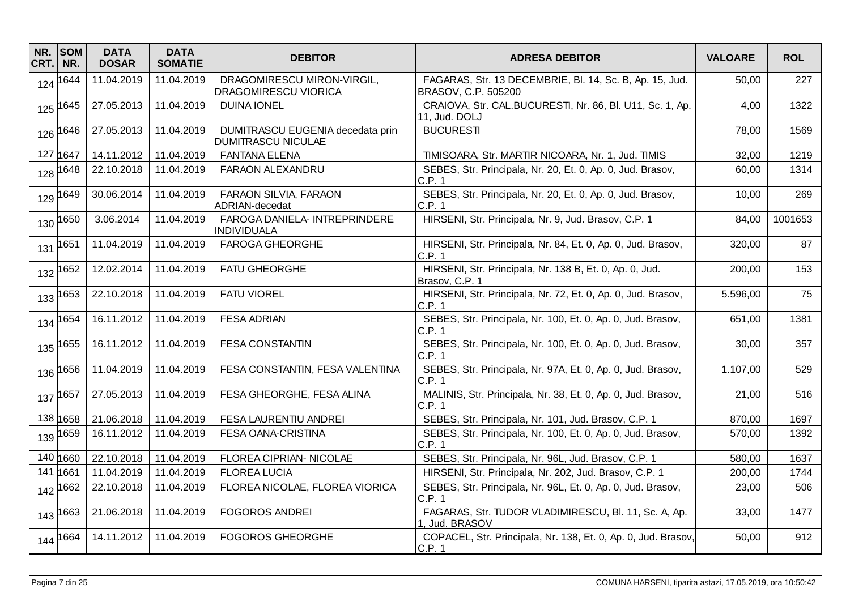| NR.<br>CRT. | <b>SOM</b><br>NR. | <b>DATA</b><br><b>DOSAR</b> | <b>DATA</b><br><b>SOMATIE</b> | <b>DEBITOR</b>                                                | <b>ADRESA DEBITOR</b>                                                          | <b>VALOARE</b> | <b>ROL</b> |
|-------------|-------------------|-----------------------------|-------------------------------|---------------------------------------------------------------|--------------------------------------------------------------------------------|----------------|------------|
| 124         | 1644              | 11.04.2019                  | 11.04.2019                    | DRAGOMIRESCU MIRON-VIRGIL,<br><b>DRAGOMIRESCU VIORICA</b>     | FAGARAS, Str. 13 DECEMBRIE, Bl. 14, Sc. B, Ap. 15, Jud.<br>BRASOV, C.P. 505200 | 50,00          | 227        |
| 125         | 1645              | 27.05.2013                  | 11.04.2019                    | <b>DUINA IONEL</b>                                            | CRAIOVA, Str. CAL.BUCURESTI, Nr. 86, Bl. U11, Sc. 1, Ap.<br>11, Jud. DOLJ      | 4,00           | 1322       |
| 126         | 1646              | 27.05.2013                  | 11.04.2019                    | DUMITRASCU EUGENIA decedata prin<br><b>DUMITRASCU NICULAE</b> | <b>BUCURESTI</b>                                                               | 78,00          | 1569       |
|             | 127 1647          | 14.11.2012                  | 11.04.2019                    | <b>FANTANA ELENA</b>                                          | TIMISOARA, Str. MARTIR NICOARA, Nr. 1, Jud. TIMIS                              | 32,00          | 1219       |
| 128         | 1648              | 22.10.2018                  | 11.04.2019                    | FARAON ALEXANDRU                                              | SEBES, Str. Principala, Nr. 20, Et. 0, Ap. 0, Jud. Brasov,<br>C.P. 1           | 60,00          | 1314       |
| 129         | 1649              | 30.06.2014                  | 11.04.2019                    | FARAON SILVIA, FARAON<br>ADRIAN-decedat                       | SEBES, Str. Principala, Nr. 20, Et. 0, Ap. 0, Jud. Brasov,<br>C.P. 1           | 10,00          | 269        |
| 130         | 1650              | 3.06.2014                   | 11.04.2019                    | FAROGA DANIELA- INTREPRINDERE<br><b>INDIVIDUALA</b>           | HIRSENI, Str. Principala, Nr. 9, Jud. Brasov, C.P. 1                           | 84,00          | 1001653    |
| 131         | 1651              | 11.04.2019                  | 11.04.2019                    | <b>FAROGA GHEORGHE</b>                                        | HIRSENI, Str. Principala, Nr. 84, Et. 0, Ap. 0, Jud. Brasov,<br>C.P. 1         | 320,00         | 87         |
|             | 132 1652          | 12.02.2014                  | 11.04.2019                    | <b>FATU GHEORGHE</b>                                          | HIRSENI, Str. Principala, Nr. 138 B, Et. 0, Ap. 0, Jud.<br>Brasov, C.P. 1      | 200,00         | 153        |
| 133         | 1653              | 22.10.2018                  | 11.04.2019                    | <b>FATU VIOREL</b>                                            | HIRSENI, Str. Principala, Nr. 72, Et. 0, Ap. 0, Jud. Brasov,<br>C.P.1          | 5.596,00       | 75         |
| 134         | 1654              | 16.11.2012                  | 11.04.2019                    | <b>FESA ADRIAN</b>                                            | SEBES, Str. Principala, Nr. 100, Et. 0, Ap. 0, Jud. Brasov,<br>C.P. 1          | 651,00         | 1381       |
| 135         | 1655              | 16.11.2012                  | 11.04.2019                    | <b>FESA CONSTANTIN</b>                                        | SEBES, Str. Principala, Nr. 100, Et. 0, Ap. 0, Jud. Brasov,<br>C.P.1           | 30,00          | 357        |
| 136         | 1656              | 11.04.2019                  | 11.04.2019                    | FESA CONSTANTIN, FESA VALENTINA                               | SEBES, Str. Principala, Nr. 97A, Et. 0, Ap. 0, Jud. Brasov,<br>C.P.1           | 1.107,00       | 529        |
|             | 137 1657          | 27.05.2013                  | 11.04.2019                    | FESA GHEORGHE, FESA ALINA                                     | MALINIS, Str. Principala, Nr. 38, Et. 0, Ap. 0, Jud. Brasov,<br>C.P.1          | 21,00          | 516        |
|             | 138 1658          | 21.06.2018                  | 11.04.2019                    | FESA LAURENTIU ANDREI                                         | SEBES, Str. Principala, Nr. 101, Jud. Brasov, C.P. 1                           | 870,00         | 1697       |
|             | 139 1659          | 16.11.2012                  | 11.04.2019                    | FESA OANA-CRISTINA                                            | SEBES, Str. Principala, Nr. 100, Et. 0, Ap. 0, Jud. Brasov,<br>C.P. 1          | 570,00         | 1392       |
|             | 140 1660          | 22.10.2018                  | 11.04.2019                    | FLOREA CIPRIAN- NICOLAE                                       | SEBES, Str. Principala, Nr. 96L, Jud. Brasov, C.P. 1                           | 580,00         | 1637       |
| 141         | 1661              | 11.04.2019                  | 11.04.2019                    | <b>FLOREA LUCIA</b>                                           | HIRSENI, Str. Principala, Nr. 202, Jud. Brasov, C.P. 1                         | 200,00         | 1744       |
|             | 142 1662          | 22.10.2018                  | 11.04.2019                    | FLOREA NICOLAE, FLOREA VIORICA                                | SEBES, Str. Principala, Nr. 96L, Et. 0, Ap. 0, Jud. Brasov,<br>C.P. 1          | 23,00          | 506        |
|             | 143 1663          | 21.06.2018                  | 11.04.2019                    | <b>FOGOROS ANDREI</b>                                         | FAGARAS, Str. TUDOR VLADIMIRESCU, Bl. 11, Sc. A, Ap.<br>1, Jud. BRASOV         | 33,00          | 1477       |
|             | 144 1664          | 14.11.2012                  | 11.04.2019                    | <b>FOGOROS GHEORGHE</b>                                       | COPACEL, Str. Principala, Nr. 138, Et. 0, Ap. 0, Jud. Brasov,<br>C.P. 1        | 50,00          | 912        |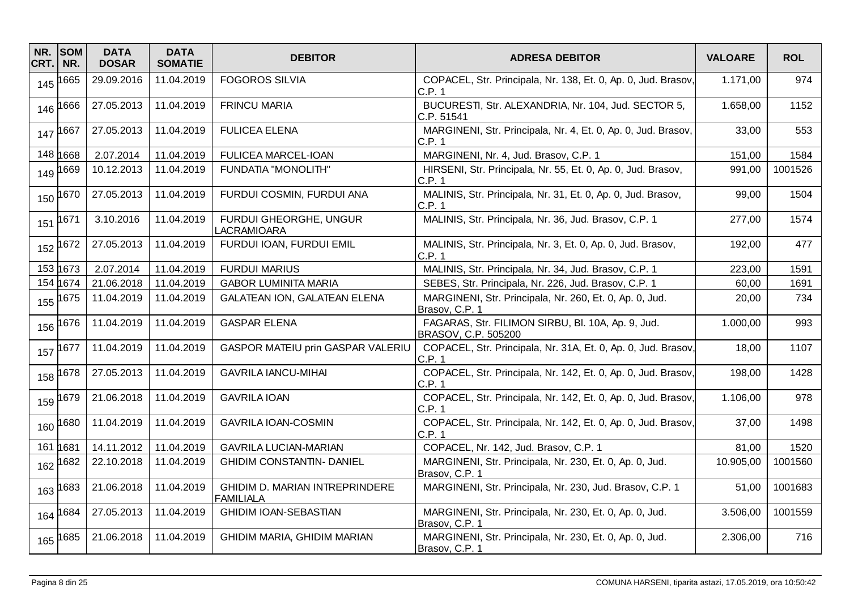| NR.<br>CRT. | <b>SOM</b><br>NR. | <b>DATA</b><br><b>DOSAR</b> | <b>DATA</b><br><b>SOMATIE</b> | <b>DEBITOR</b>                                     | <b>ADRESA DEBITOR</b>                                                     | <b>VALOARE</b> | <b>ROL</b> |
|-------------|-------------------|-----------------------------|-------------------------------|----------------------------------------------------|---------------------------------------------------------------------------|----------------|------------|
| 145         | 1665              | 29.09.2016                  | 11.04.2019                    | <b>FOGOROS SILVIA</b>                              | COPACEL, Str. Principala, Nr. 138, Et. 0, Ap. 0, Jud. Brasov,<br>C.P. 1   | 1.171,00       | 974        |
| 146         | 1666              | 27.05.2013                  | 11.04.2019                    | <b>FRINCU MARIA</b>                                | BUCURESTI, Str. ALEXANDRIA, Nr. 104, Jud. SECTOR 5,<br>C.P.51541          | 1.658,00       | 1152       |
| 147         | 1667              | 27.05.2013                  | 11.04.2019                    | <b>FULICEA ELENA</b>                               | MARGINENI, Str. Principala, Nr. 4, Et. 0, Ap. 0, Jud. Brasov,<br>C.P. 1   | 33,00          | 553        |
|             | 148 1668          | 2.07.2014                   | 11.04.2019                    | <b>FULICEA MARCEL-IOAN</b>                         | MARGINENI, Nr. 4, Jud. Brasov, C.P. 1                                     | 151,00         | 1584       |
| 149         | 1669              | 10.12.2013                  | 11.04.2019                    | <b>FUNDATIA "MONOLITH"</b>                         | HIRSENI, Str. Principala, Nr. 55, Et. 0, Ap. 0, Jud. Brasov,<br>C.P. 1    | 991,00         | 1001526    |
| 150         | 1670              | 27.05.2013                  | 11.04.2019                    | FURDUI COSMIN, FURDUI ANA                          | MALINIS, Str. Principala, Nr. 31, Et. 0, Ap. 0, Jud. Brasov,<br>C.P.1     | 99,00          | 1504       |
| 151         | 1671              | 3.10.2016                   | 11.04.2019                    | FURDUI GHEORGHE, UNGUR<br><b>LACRAMIOARA</b>       | MALINIS, Str. Principala, Nr. 36, Jud. Brasov, C.P. 1                     | 277,00         | 1574       |
| 152         | 1672              | 27.05.2013                  | 11.04.2019                    | FURDUI IOAN, FURDUI EMIL                           | MALINIS, Str. Principala, Nr. 3, Et. 0, Ap. 0, Jud. Brasov,<br>C.P. 1     | 192,00         | 477        |
|             | 153 1673          | 2.07.2014                   | 11.04.2019                    | <b>FURDUI MARIUS</b>                               | MALINIS, Str. Principala, Nr. 34, Jud. Brasov, C.P. 1                     | 223,00         | 1591       |
|             | 154 1674          | 21.06.2018                  | 11.04.2019                    | <b>GABOR LUMINITA MARIA</b>                        | SEBES, Str. Principala, Nr. 226, Jud. Brasov, C.P. 1                      | 60,00          | 1691       |
| 155         | 1675              | 11.04.2019                  | 11.04.2019                    | <b>GALATEAN ION, GALATEAN ELENA</b>                | MARGINENI, Str. Principala, Nr. 260, Et. 0, Ap. 0, Jud.<br>Brasov, C.P. 1 | 20,00          | 734        |
| 156         | 1676              | 11.04.2019                  | 11.04.2019                    | <b>GASPAR ELENA</b>                                | FAGARAS, Str. FILIMON SIRBU, Bl. 10A, Ap. 9, Jud.<br>BRASOV, C.P. 505200  | 1.000,00       | 993        |
| 157         | 1677              | 11.04.2019                  | 11.04.2019                    | GASPOR MATEIU prin GASPAR VALERIU                  | COPACEL, Str. Principala, Nr. 31A, Et. 0, Ap. 0, Jud. Brasov,<br>C.P. 1   | 18,00          | 1107       |
| 158         | 1678              | 27.05.2013                  | 11.04.2019                    | <b>GAVRILA IANCU-MIHAI</b>                         | COPACEL, Str. Principala, Nr. 142, Et. 0, Ap. 0, Jud. Brasov,<br>C.P.1    | 198,00         | 1428       |
| 159         | 1679              | 21.06.2018                  | 11.04.2019                    | <b>GAVRILA IOAN</b>                                | COPACEL, Str. Principala, Nr. 142, Et. 0, Ap. 0, Jud. Brasov,<br>C.P. 1   | 1.106,00       | 978        |
| 160         | 1680              | 11.04.2019                  | 11.04.2019                    | <b>GAVRILA IOAN-COSMIN</b>                         | COPACEL, Str. Principala, Nr. 142, Et. 0, Ap. 0, Jud. Brasov,<br>C.P. 1   | 37,00          | 1498       |
| 161         | 1681              | 14.11.2012                  | 11.04.2019                    | <b>GAVRILA LUCIAN-MARIAN</b>                       | COPACEL, Nr. 142, Jud. Brasov, C.P. 1                                     | 81,00          | 1520       |
| 162         | 1682              | 22.10.2018                  | 11.04.2019                    | <b>GHIDIM CONSTANTIN- DANIEL</b>                   | MARGINENI, Str. Principala, Nr. 230, Et. 0, Ap. 0, Jud.<br>Brasov, C.P. 1 | 10.905,00      | 1001560    |
| 163         | 1683              | 21.06.2018                  | 11.04.2019                    | GHIDIM D. MARIAN INTREPRINDERE<br><b>FAMILIALA</b> | MARGINENI, Str. Principala, Nr. 230, Jud. Brasov, C.P. 1                  | 51,00          | 1001683    |
| 164         | 1684              | 27.05.2013                  | 11.04.2019                    | <b>GHIDIM IOAN-SEBASTIAN</b>                       | MARGINENI, Str. Principala, Nr. 230, Et. 0, Ap. 0, Jud.<br>Brasov, C.P. 1 | 3.506,00       | 1001559    |
|             | 165 1685          | 21.06.2018                  | 11.04.2019                    | GHIDIM MARIA, GHIDIM MARIAN                        | MARGINENI, Str. Principala, Nr. 230, Et. 0, Ap. 0, Jud.<br>Brasov, C.P. 1 | 2.306,00       | 716        |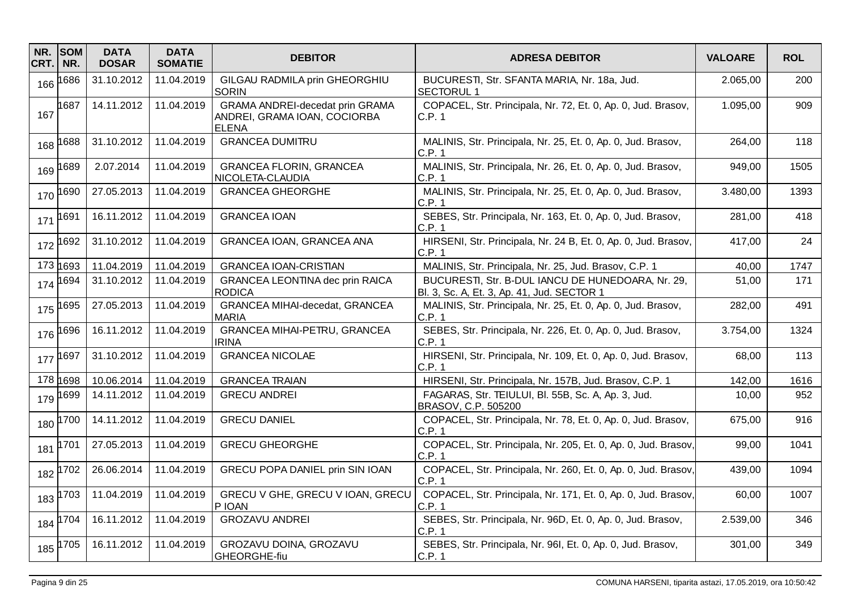| NR.<br>CRT. | <b>SOM</b><br>NR. | <b>DATA</b><br><b>DOSAR</b> | <b>DATA</b><br><b>SOMATIE</b> | <b>DEBITOR</b>                                                                         | <b>ADRESA DEBITOR</b>                                                                           | <b>VALOARE</b> | <b>ROL</b> |
|-------------|-------------------|-----------------------------|-------------------------------|----------------------------------------------------------------------------------------|-------------------------------------------------------------------------------------------------|----------------|------------|
| 166         | 1686              | 31.10.2012                  | 11.04.2019                    | GILGAU RADMILA prin GHEORGHIU<br><b>SORIN</b>                                          | BUCURESTI, Str. SFANTA MARIA, Nr. 18a, Jud.<br><b>SECTORUL 1</b>                                | 2.065,00       | 200        |
| 167         | 1687              | 14.11.2012                  | 11.04.2019                    | <b>GRAMA ANDREI-decedat prin GRAMA</b><br>ANDREI, GRAMA IOAN, COCIORBA<br><b>ELENA</b> | COPACEL, Str. Principala, Nr. 72, Et. 0, Ap. 0, Jud. Brasov,<br>C.P. 1                          | 1.095,00       | 909        |
| 168         | 1688              | 31.10.2012                  | 11.04.2019                    | <b>GRANCEA DUMITRU</b>                                                                 | MALINIS, Str. Principala, Nr. 25, Et. 0, Ap. 0, Jud. Brasov,<br>C.P. 1                          | 264,00         | 118        |
| 169         | 1689              | 2.07.2014                   | 11.04.2019                    | <b>GRANCEA FLORIN, GRANCEA</b><br>NICOLETA-CLAUDIA                                     | MALINIS, Str. Principala, Nr. 26, Et. 0, Ap. 0, Jud. Brasov,<br>C.P.1                           | 949,00         | 1505       |
| 170         | 1690              | 27.05.2013                  | 11.04.2019                    | <b>GRANCEA GHEORGHE</b>                                                                | MALINIS, Str. Principala, Nr. 25, Et. 0, Ap. 0, Jud. Brasov,<br>C.P.1                           | 3.480,00       | 1393       |
| 171         | 1691              | 16.11.2012                  | 11.04.2019                    | <b>GRANCEA IOAN</b>                                                                    | SEBES, Str. Principala, Nr. 163, Et. 0, Ap. 0, Jud. Brasov,<br>C.P. 1                           | 281,00         | 418        |
| 172         | 1692              | 31.10.2012                  | 11.04.2019                    | GRANCEA IOAN, GRANCEA ANA                                                              | HIRSENI, Str. Principala, Nr. 24 B, Et. 0, Ap. 0, Jud. Brasov,<br>C.P.1                         | 417,00         | 24         |
|             | 173 1693          | 11.04.2019                  | 11.04.2019                    | <b>GRANCEA IOAN-CRISTIAN</b>                                                           | MALINIS, Str. Principala, Nr. 25, Jud. Brasov, C.P. 1                                           | 40,00          | 1747       |
| 174         | 1694              | 31.10.2012                  | 11.04.2019                    | GRANCEA LEONTINA dec prin RAICA<br><b>RODICA</b>                                       | BUCURESTI, Str. B-DUL IANCU DE HUNEDOARA, Nr. 29,<br>Bl. 3, Sc. A, Et. 3, Ap. 41, Jud. SECTOR 1 | 51,00          | 171        |
| 175         | 1695              | 27.05.2013                  | 11.04.2019                    | GRANCEA MIHAI-decedat, GRANCEA<br>MARIA                                                | MALINIS, Str. Principala, Nr. 25, Et. 0, Ap. 0, Jud. Brasov,<br>C.P. 1                          | 282,00         | 491        |
| 176         | 1696              | 16.11.2012                  | 11.04.2019                    | <b>GRANCEA MIHAI-PETRU, GRANCEA</b><br><b>IRINA</b>                                    | SEBES, Str. Principala, Nr. 226, Et. 0, Ap. 0, Jud. Brasov,<br>C.P.1                            | 3.754,00       | 1324       |
| 177         | 1697              | 31.10.2012                  | 11.04.2019                    | <b>GRANCEA NICOLAE</b>                                                                 | HIRSENI, Str. Principala, Nr. 109, Et. 0, Ap. 0, Jud. Brasov,<br>C.P. 1                         | 68,00          | 113        |
|             | 178 1698          | 10.06.2014                  | 11.04.2019                    | <b>GRANCEA TRAIAN</b>                                                                  | HIRSENI, Str. Principala, Nr. 157B, Jud. Brasov, C.P. 1                                         | 142,00         | 1616       |
| 179         | 1699              | 14.11.2012                  | 11.04.2019                    | <b>GRECU ANDREI</b>                                                                    | FAGARAS, Str. TEIULUI, Bl. 55B, Sc. A, Ap. 3, Jud.<br>BRASOV, C.P. 505200                       | 10,00          | 952        |
| 180         | 1700              | 14.11.2012                  | 11.04.2019                    | <b>GRECU DANIEL</b>                                                                    | COPACEL, Str. Principala, Nr. 78, Et. 0, Ap. 0, Jud. Brasov,<br>C.P.1                           | 675,00         | 916        |
| 181         | 1701              | 27.05.2013                  | 11.04.2019                    | <b>GRECU GHEORGHE</b>                                                                  | COPACEL, Str. Principala, Nr. 205, Et. 0, Ap. 0, Jud. Brasov,<br>C.P. 1                         | 99,00          | 1041       |
| 182         | 702               | 26.06.2014                  | 11.04.2019                    | GRECU POPA DANIEL prin SIN IOAN                                                        | COPACEL, Str. Principala, Nr. 260, Et. 0, Ap. 0, Jud. Brasov,<br>C.P.1                          | 439,00         | 1094       |
| 183         | 1703              | 11.04.2019                  | 11.04.2019                    | GRECU V GHE, GRECU V IOAN, GRECU<br>P IOAN                                             | COPACEL, Str. Principala, Nr. 171, Et. 0, Ap. 0, Jud. Brasov,<br>C.P. 1                         | 60,00          | 1007       |
| 184         | 1704              | 16.11.2012                  | 11.04.2019                    | <b>GROZAVU ANDREI</b>                                                                  | SEBES, Str. Principala, Nr. 96D, Et. 0, Ap. 0, Jud. Brasov,<br>C.P.1                            | 2.539,00       | 346        |
|             | 185 1705          | 16.11.2012                  | 11.04.2019                    | GROZAVU DOINA, GROZAVU<br>GHEORGHE-fiu                                                 | SEBES, Str. Principala, Nr. 96I, Et. 0, Ap. 0, Jud. Brasov,<br>C.P. 1                           | 301,00         | 349        |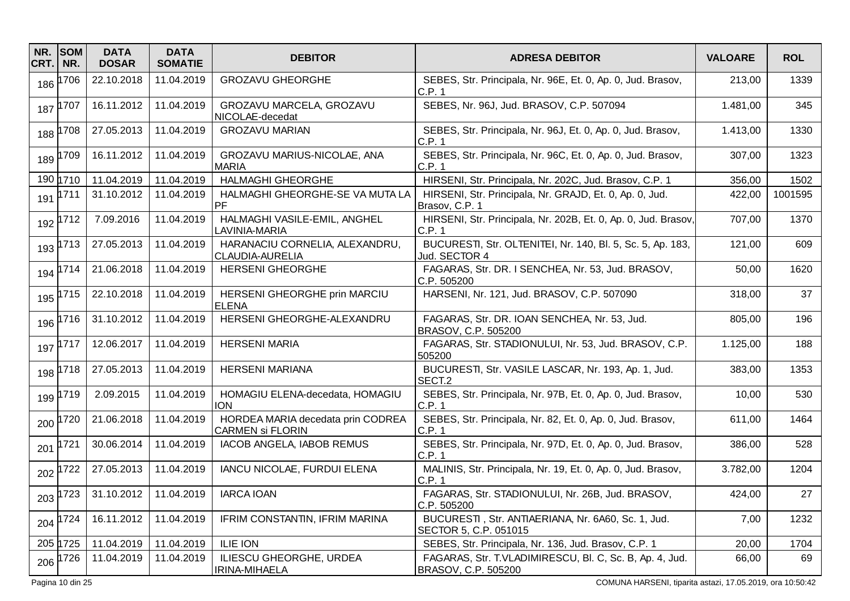| NR.<br>CRT. | <b>SOM</b><br>NR. | <b>DATA</b><br><b>DOSAR</b> | <b>DATA</b><br><b>SOMATIE</b> | <b>DEBITOR</b>                                               | <b>ADRESA DEBITOR</b>                                                          | <b>VALOARE</b> | <b>ROL</b> |
|-------------|-------------------|-----------------------------|-------------------------------|--------------------------------------------------------------|--------------------------------------------------------------------------------|----------------|------------|
|             | 186 1706          | 22.10.2018                  | 11.04.2019                    | <b>GROZAVU GHEORGHE</b>                                      | SEBES, Str. Principala, Nr. 96E, Et. 0, Ap. 0, Jud. Brasov,<br>C.P.1           | 213,00         | 1339       |
|             | 187 1707          | 16.11.2012                  | 11.04.2019                    | GROZAVU MARCELA, GROZAVU<br>NICOLAE-decedat                  | SEBES, Nr. 96J, Jud. BRASOV, C.P. 507094                                       | 1.481,00       | 345        |
| 188         | 1708              | 27.05.2013                  | 11.04.2019                    | <b>GROZAVU MARIAN</b>                                        | SEBES, Str. Principala, Nr. 96J, Et. 0, Ap. 0, Jud. Brasov,<br>C.P. 1          | 1.413,00       | 1330       |
| 189         | 1709              | 16.11.2012                  | 11.04.2019                    | GROZAVU MARIUS-NICOLAE, ANA<br><b>MARIA</b>                  | SEBES, Str. Principala, Nr. 96C, Et. 0, Ap. 0, Jud. Brasov,<br>C.P.1           | 307,00         | 1323       |
|             | 190 1710          | 11.04.2019                  | 11.04.2019                    | <b>HALMAGHI GHEORGHE</b>                                     | HIRSENI, Str. Principala, Nr. 202C, Jud. Brasov, C.P. 1                        | 356,00         | 1502       |
| 191         | 1711              | 31.10.2012                  | 11.04.2019                    | HALMAGHI GHEORGHE-SE VA MUTA LA<br>PF                        | HIRSENI, Str. Principala, Nr. GRAJD, Et. 0, Ap. 0, Jud.<br>Brasov, C.P. 1      | 422,00         | 1001595    |
|             | 192 1712          | 7.09.2016                   | 11.04.2019                    | HALMAGHI VASILE-EMIL, ANGHEL<br>LAVINIA-MARIA                | HIRSENI, Str. Principala, Nr. 202B, Et. 0, Ap. 0, Jud. Brasov,<br>C.P. 1       | 707,00         | 1370       |
|             | 193 1713          | 27.05.2013                  | 11.04.2019                    | HARANACIU CORNELIA, ALEXANDRU,<br><b>CLAUDIA-AURELIA</b>     | BUCURESTI, Str. OLTENITEI, Nr. 140, Bl. 5, Sc. 5, Ap. 183,<br>Jud. SECTOR 4    | 121,00         | 609        |
|             | 194 1714          | 21.06.2018                  | 11.04.2019                    | <b>HERSENI GHEORGHE</b>                                      | FAGARAS, Str. DR. I SENCHEA, Nr. 53, Jud. BRASOV,<br>C.P.505200                | 50,00          | 1620       |
|             | 195 1715          | 22.10.2018                  | 11.04.2019                    | HERSENI GHEORGHE prin MARCIU<br><b>ELENA</b>                 | HARSENI, Nr. 121, Jud. BRASOV, C.P. 507090                                     | 318,00         | 37         |
|             | 196 1716          | 31.10.2012                  | 11.04.2019                    | HERSENI GHEORGHE-ALEXANDRU                                   | FAGARAS, Str. DR. IOAN SENCHEA, Nr. 53, Jud.<br>BRASOV, C.P. 505200            | 805,00         | 196        |
|             | 197 1717          | 12.06.2017                  | 11.04.2019                    | <b>HERSENI MARIA</b>                                         | FAGARAS, Str. STADIONULUI, Nr. 53, Jud. BRASOV, C.P.<br>505200                 | 1.125,00       | 188        |
|             | 198 1718          | 27.05.2013                  | 11.04.2019                    | <b>HERSENI MARIANA</b>                                       | BUCURESTI, Str. VASILE LASCAR, Nr. 193, Ap. 1, Jud.<br>SECT <sub>.2</sub>      | 383,00         | 1353       |
| 199         | 1719              | 2.09.2015                   | 11.04.2019                    | HOMAGIU ELENA-decedata, HOMAGIU<br><b>ION</b>                | SEBES, Str. Principala, Nr. 97B, Et. 0, Ap. 0, Jud. Brasov,<br>C.P.1           | 10,00          | 530        |
|             | 200 1720          | 21.06.2018                  | 11.04.2019                    | HORDEA MARIA decedata prin CODREA<br><b>CARMEN Si FLORIN</b> | SEBES, Str. Principala, Nr. 82, Et. 0, Ap. 0, Jud. Brasov,<br>C.P. 1           | 611,00         | 1464       |
| 201         | 1721              | 30.06.2014                  | 11.04.2019                    | <b>IACOB ANGELA, IABOB REMUS</b>                             | SEBES, Str. Principala, Nr. 97D, Et. 0, Ap. 0, Jud. Brasov,<br>C.P. 1          | 386,00         | 528        |
|             | 202 1722          | 27.05.2013                  | 11.04.2019                    | IANCU NICOLAE, FURDUI ELENA                                  | MALINIS, Str. Principala, Nr. 19, Et. 0, Ap. 0, Jud. Brasov,<br>C.P. 1         | 3.782,00       | 1204       |
|             | 203 1723          | 31.10.2012                  | 11.04.2019                    | <b>IARCA IOAN</b>                                            | FAGARAS, Str. STADIONULUI, Nr. 26B, Jud. BRASOV,<br>C.P. 505200                | 424,00         | 27         |
|             | 204 1724          | 16.11.2012                  | 11.04.2019                    | IFRIM CONSTANTIN, IFRIM MARINA                               | BUCURESTI, Str. ANTIAERIANA, Nr. 6A60, Sc. 1, Jud.<br>SECTOR 5, C.P. 051015    | 7,00           | 1232       |
|             | 205 1725          | 11.04.2019                  | 11.04.2019                    | <b>ILIE ION</b>                                              | SEBES, Str. Principala, Nr. 136, Jud. Brasov, C.P. 1                           | 20,00          | 1704       |
|             | 206 1726          | 11.04.2019                  | 11.04.2019                    | ILIESCU GHEORGHE, URDEA<br>IRINA-MIHAELA                     | FAGARAS, Str. T.VLADIMIRESCU, Bl. C, Sc. B, Ap. 4, Jud.<br>BRASOV, C.P. 505200 | 66,00          | 69         |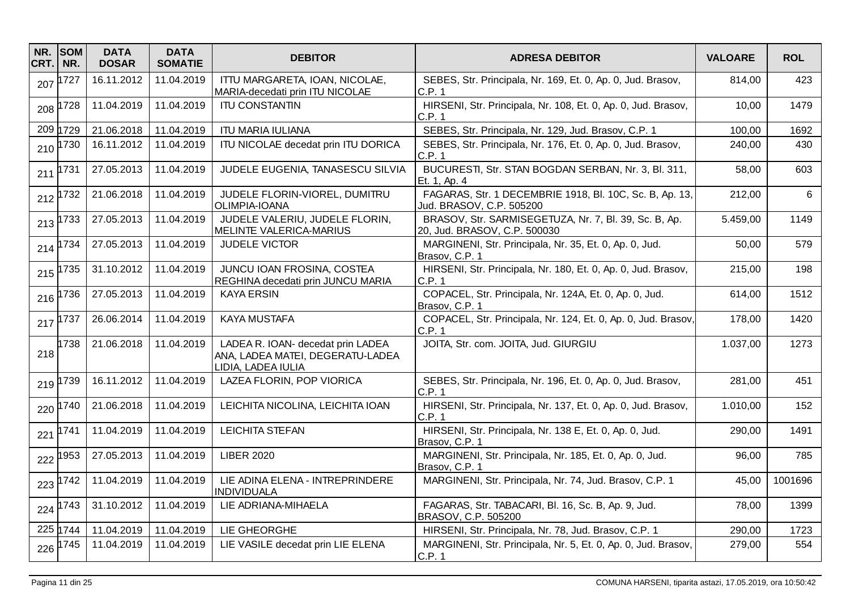| NR.<br>CRT. | <b>SOM</b><br>NR. | <b>DATA</b><br><b>DOSAR</b> | <b>DATA</b><br><b>SOMATIE</b> | <b>DEBITOR</b>                                                                              | <b>ADRESA DEBITOR</b>                                                                 | <b>VALOARE</b> | <b>ROL</b> |
|-------------|-------------------|-----------------------------|-------------------------------|---------------------------------------------------------------------------------------------|---------------------------------------------------------------------------------------|----------------|------------|
| 207         | 1727              | 16.11.2012                  | 11.04.2019                    | ITTU MARGARETA, IOAN, NICOLAE,<br>MARIA-decedati prin ITU NICOLAE                           | SEBES, Str. Principala, Nr. 169, Et. 0, Ap. 0, Jud. Brasov,<br>C.P.1                  | 814,00         | 423        |
| 208         | 1728              | 11.04.2019                  | 11.04.2019                    | <b>ITU CONSTANTIN</b>                                                                       | HIRSENI, Str. Principala, Nr. 108, Et. 0, Ap. 0, Jud. Brasov,<br>C.P. 1               | 10,00          | 1479       |
|             | 209 1729          | 21.06.2018                  | 11.04.2019                    | <b>ITU MARIA IULIANA</b>                                                                    | SEBES, Str. Principala, Nr. 129, Jud. Brasov, C.P. 1                                  | 100,00         | 1692       |
| 210         | 1730              | 16.11.2012                  | 11.04.2019                    | ITU NICOLAE decedat prin ITU DORICA                                                         | SEBES, Str. Principala, Nr. 176, Et. 0, Ap. 0, Jud. Brasov,<br>C.P.1                  | 240,00         | 430        |
| 211         | 1731              | 27.05.2013                  | 11.04.2019                    | JUDELE EUGENIA, TANASESCU SILVIA                                                            | BUCURESTI, Str. STAN BOGDAN SERBAN, Nr. 3, Bl. 311,<br>Et. 1, Ap. 4                   | 58,00          | 603        |
| 212         | 1732              | 21.06.2018                  | 11.04.2019                    | JUDELE FLORIN-VIOREL, DUMITRU<br>OLIMPIA-IOANA                                              | FAGARAS, Str. 1 DECEMBRIE 1918, Bl. 10C, Sc. B, Ap. 13,<br>Jud. BRASOV, C.P. 505200   | 212,00         | 6          |
| 213         | 1733              | 27.05.2013                  | 11.04.2019                    | JUDELE VALERIU, JUDELE FLORIN,<br><b>MELINTE VALERICA-MARIUS</b>                            | BRASOV, Str. SARMISEGETUZA, Nr. 7, Bl. 39, Sc. B, Ap.<br>20, Jud. BRASOV, C.P. 500030 | 5.459,00       | 1149       |
| 214         | 1734              | 27.05.2013                  | 11.04.2019                    | <b>JUDELE VICTOR</b>                                                                        | MARGINENI, Str. Principala, Nr. 35, Et. 0, Ap. 0, Jud.<br>Brasov, C.P. 1              | 50,00          | 579        |
| 215         | 1735              | 31.10.2012                  | 11.04.2019                    | JUNCU IOAN FROSINA, COSTEA<br>REGHINA decedati prin JUNCU MARIA                             | HIRSENI, Str. Principala, Nr. 180, Et. 0, Ap. 0, Jud. Brasov,<br>C.P.1                | 215,00         | 198        |
| 216         | 1736              | 27.05.2013                  | 11.04.2019                    | <b>KAYA ERSIN</b>                                                                           | COPACEL, Str. Principala, Nr. 124A, Et. 0, Ap. 0, Jud.<br>Brasov, C.P. 1              | 614,00         | 1512       |
| 217         | 1737              | 26.06.2014                  | 11.04.2019                    | <b>KAYA MUSTAFA</b>                                                                         | COPACEL, Str. Principala, Nr. 124, Et. 0, Ap. 0, Jud. Brasov,<br>C.P. 1               | 178,00         | 1420       |
| 218         | 1738              | 21.06.2018                  | 11.04.2019                    | LADEA R. IOAN- decedat prin LADEA<br>ANA, LADEA MATEI, DEGERATU-LADEA<br>LIDIA, LADEA IULIA | JOITA, Str. com. JOITA, Jud. GIURGIU                                                  | 1.037,00       | 1273       |
| 219         | 1739              | 16.11.2012                  | 11.04.2019                    | LAZEA FLORIN, POP VIORICA                                                                   | SEBES, Str. Principala, Nr. 196, Et. 0, Ap. 0, Jud. Brasov,<br>C.P.1                  | 281,00         | 451        |
| 220         | 1740              | 21.06.2018                  | 11.04.2019                    | LEICHITA NICOLINA, LEICHITA IOAN                                                            | HIRSENI, Str. Principala, Nr. 137, Et. 0, Ap. 0, Jud. Brasov,<br>C.P.1                | 1.010,00       | 152        |
| 221         | 1741              | 11.04.2019                  | 11.04.2019                    | <b>LEICHITA STEFAN</b>                                                                      | HIRSENI, Str. Principala, Nr. 138 E, Et. 0, Ap. 0, Jud.<br>Brasov, C.P. 1             | 290,00         | 1491       |
| 222         | 1953              | 27.05.2013                  | 11.04.2019                    | <b>LIBER 2020</b>                                                                           | MARGINENI, Str. Principala, Nr. 185, Et. 0, Ap. 0, Jud.<br>Brasov, C.P. 1             | 96,00          | 785        |
| 223         | 1742              | 11.04.2019                  | 11.04.2019                    | LIE ADINA ELENA - INTREPRINDERE<br><b>INDIVIDUALA</b>                                       | MARGINENI, Str. Principala, Nr. 74, Jud. Brasov, C.P. 1                               | 45,00          | 1001696    |
| 224         | 1743              | 31.10.2012                  | 11.04.2019                    | LIE ADRIANA-MIHAELA                                                                         | FAGARAS, Str. TABACARI, Bl. 16, Sc. B, Ap. 9, Jud.<br>BRASOV, C.P. 505200             | 78,00          | 1399       |
|             | 225 1744          | 11.04.2019                  | 11.04.2019                    | LIE GHEORGHE                                                                                | HIRSENI, Str. Principala, Nr. 78, Jud. Brasov, C.P. 1                                 | 290,00         | 1723       |
|             | 226 1745          | 11.04.2019                  | 11.04.2019                    | LIE VASILE decedat prin LIE ELENA                                                           | MARGINENI, Str. Principala, Nr. 5, Et. 0, Ap. 0, Jud. Brasov,<br>C.P. 1               | 279,00         | 554        |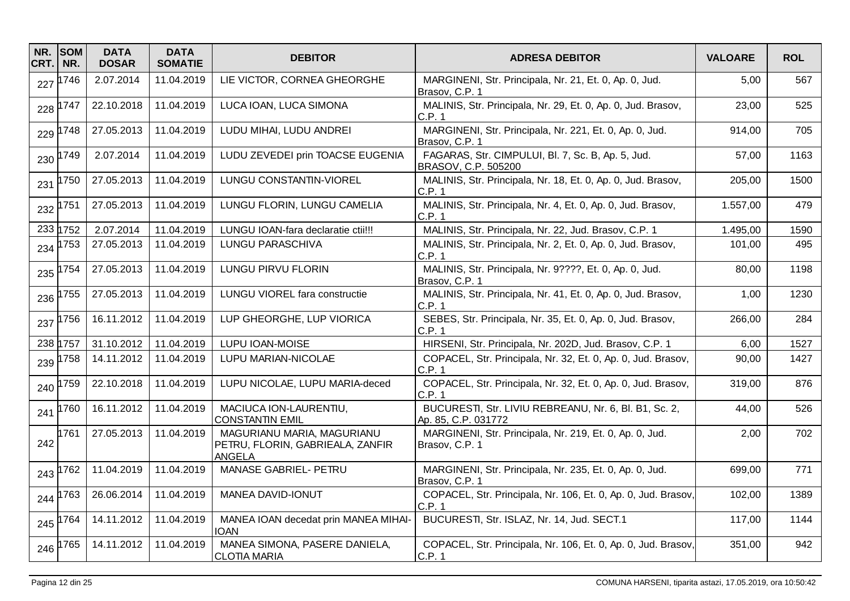| NR.<br>CRT. | <b>SOM</b><br>NR. | <b>DATA</b><br><b>DOSAR</b> | <b>DATA</b><br><b>SOMATIE</b> | <b>DEBITOR</b>                                                           | <b>ADRESA DEBITOR</b>                                                        | <b>VALOARE</b> | <b>ROL</b> |
|-------------|-------------------|-----------------------------|-------------------------------|--------------------------------------------------------------------------|------------------------------------------------------------------------------|----------------|------------|
| 227         | 1746              | 2.07.2014                   | 11.04.2019                    | LIE VICTOR, CORNEA GHEORGHE                                              | MARGINENI, Str. Principala, Nr. 21, Et. 0, Ap. 0, Jud.<br>Brasov, C.P. 1     | 5,00           | 567        |
| 228         | 1747              | 22.10.2018                  | 11.04.2019                    | LUCA IOAN, LUCA SIMONA                                                   | MALINIS, Str. Principala, Nr. 29, Et. 0, Ap. 0, Jud. Brasov,<br>C.P. 1       | 23,00          | 525        |
| 229         | 1748              | 27.05.2013                  | 11.04.2019                    | LUDU MIHAI, LUDU ANDREI                                                  | MARGINENI, Str. Principala, Nr. 221, Et. 0, Ap. 0, Jud.<br>Brasov, C.P. 1    | 914,00         | 705        |
| 230         | 1749              | 2.07.2014                   | 11.04.2019                    | LUDU ZEVEDEI prin TOACSE EUGENIA                                         | FAGARAS, Str. CIMPULUI, Bl. 7, Sc. B, Ap. 5, Jud.<br>BRASOV, C.P. 505200     | 57,00          | 1163       |
| 231         | 1750              | 27.05.2013                  | 11.04.2019                    | <b>LUNGU CONSTANTIN-VIOREL</b>                                           | MALINIS, Str. Principala, Nr. 18, Et. 0, Ap. 0, Jud. Brasov,<br>C.P. 1       | 205,00         | 1500       |
|             | 232 1751          | 27.05.2013                  | 11.04.2019                    | LUNGU FLORIN, LUNGU CAMELIA                                              | MALINIS, Str. Principala, Nr. 4, Et. 0, Ap. 0, Jud. Brasov,<br>C.P.1         | 1.557,00       | 479        |
|             | 233 1752          | 2.07.2014                   | 11.04.2019                    | LUNGU IOAN-fara declaratie ctii!!!                                       | MALINIS, Str. Principala, Nr. 22, Jud. Brasov, C.P. 1                        | 1.495,00       | 1590       |
| 234         | 1753              | 27.05.2013                  | 11.04.2019                    | LUNGU PARASCHIVA                                                         | MALINIS, Str. Principala, Nr. 2, Et. 0, Ap. 0, Jud. Brasov,<br>C.P. 1        | 101,00         | 495        |
| 235         | 1754              | 27.05.2013                  | 11.04.2019                    | LUNGU PIRVU FLORIN                                                       | MALINIS, Str. Principala, Nr. 9????, Et. 0, Ap. 0, Jud.<br>Brasov, C.P. 1    | 80,00          | 1198       |
| 236         | 1755              | 27.05.2013                  | 11.04.2019                    | LUNGU VIOREL fara constructie                                            | MALINIS, Str. Principala, Nr. 41, Et. 0, Ap. 0, Jud. Brasov,<br>C.P.1        | 1,00           | 1230       |
| 237         | 1756              | 16.11.2012                  | 11.04.2019                    | LUP GHEORGHE, LUP VIORICA                                                | SEBES, Str. Principala, Nr. 35, Et. 0, Ap. 0, Jud. Brasov,<br>C.P.1          | 266,00         | 284        |
|             | 238 1757          | 31.10.2012                  | 11.04.2019                    | LUPU IOAN-MOISE                                                          | HIRSENI, Str. Principala, Nr. 202D, Jud. Brasov, C.P. 1                      | 6,00           | 1527       |
| 239         | 1758              | 14.11.2012                  | 11.04.2019                    | LUPU MARIAN-NICOLAE                                                      | COPACEL, Str. Principala, Nr. 32, Et. 0, Ap. 0, Jud. Brasov,<br>C.P. 1       | 90,00          | 1427       |
| 240         | 1759              | 22.10.2018                  | 11.04.2019                    | LUPU NICOLAE, LUPU MARIA-deced                                           | COPACEL, Str. Principala, Nr. 32, Et. 0, Ap. 0, Jud. Brasov,<br>C.P. 1       | 319,00         | 876        |
| 241         | 1760              | 16.11.2012                  | 11.04.2019                    | MACIUCA ION-LAURENTIU,<br><b>CONSTANTIN EMIL</b>                         | BUCURESTI, Str. LIVIU REBREANU, Nr. 6, Bl. B1, Sc. 2,<br>Ap. 85, C.P. 031772 | 44,00          | 526        |
| 242         | 1761              | 27.05.2013                  | 11.04.2019                    | MAGURIANU MARIA, MAGURIANU<br>PETRU, FLORIN, GABRIEALA, ZANFIR<br>ANGELA | MARGINENI, Str. Principala, Nr. 219, Et. 0, Ap. 0, Jud.<br>Brasov, C.P. 1    | 2,00           | 702        |
| 243         | 1762              | 11.04.2019                  | 11.04.2019                    | MANASE GABRIEL- PETRU                                                    | MARGINENI, Str. Principala, Nr. 235, Et. 0, Ap. 0, Jud.<br>Brasov, C.P. 1    | 699,00         | 771        |
| 244         | 1763              | 26.06.2014                  | 11.04.2019                    | MANEA DAVID-IONUT                                                        | COPACEL, Str. Principala, Nr. 106, Et. 0, Ap. 0, Jud. Brasov,<br>C.P. 1      | 102,00         | 1389       |
| 245         | 1764              | 14.11.2012                  | 11.04.2019                    | MANEA IOAN decedat prin MANEA MIHAI-<br><b>IOAN</b>                      | BUCURESTI, Str. ISLAZ, Nr. 14, Jud. SECT.1                                   | 117,00         | 1144       |
|             | 246 1765          | 14.11.2012                  | 11.04.2019                    | MANEA SIMONA, PASERE DANIELA,<br><b>CLOTIA MARIA</b>                     | COPACEL, Str. Principala, Nr. 106, Et. 0, Ap. 0, Jud. Brasov,<br>C.P. 1      | 351,00         | 942        |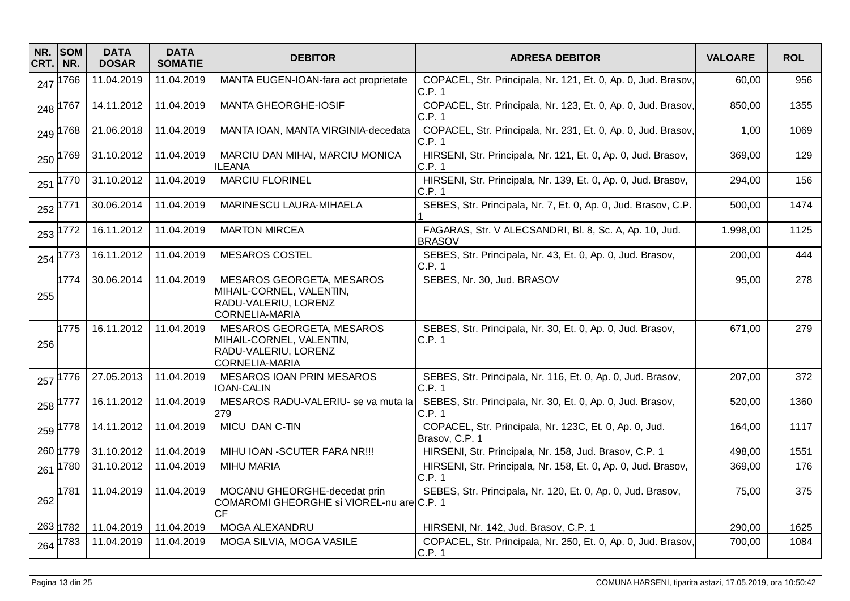| NR.<br>CRT. | <b>SOM</b><br>NR. | <b>DATA</b><br><b>DOSAR</b> | <b>DATA</b><br><b>SOMATIE</b> | <b>DEBITOR</b>                                                                                  | <b>ADRESA DEBITOR</b>                                                    | <b>VALOARE</b> | <b>ROL</b> |
|-------------|-------------------|-----------------------------|-------------------------------|-------------------------------------------------------------------------------------------------|--------------------------------------------------------------------------|----------------|------------|
| 247         | 766               | 11.04.2019                  | 11.04.2019                    | MANTA EUGEN-IOAN-fara act proprietate                                                           | COPACEL, Str. Principala, Nr. 121, Et. 0, Ap. 0, Jud. Brasov,<br>C.P.1   | 60,00          | 956        |
| 248         | 767               | 14.11.2012                  | 11.04.2019                    | <b>MANTA GHEORGHE-IOSIF</b>                                                                     | COPACEL, Str. Principala, Nr. 123, Et. 0, Ap. 0, Jud. Brasov,<br>C.P.1   | 850,00         | 1355       |
| 249         | 768               | 21.06.2018                  | 11.04.2019                    | MANTA IOAN, MANTA VIRGINIA-decedata                                                             | COPACEL, Str. Principala, Nr. 231, Et. 0, Ap. 0, Jud. Brasov,<br>C.P.1   | 1,00           | 1069       |
| 250         | 1769              | 31.10.2012                  | 11.04.2019                    | MARCIU DAN MIHAI, MARCIU MONICA<br>ILEANA                                                       | HIRSENI, Str. Principala, Nr. 121, Et. 0, Ap. 0, Jud. Brasov,<br>C.P.1   | 369,00         | 129        |
| 251         | 1770              | 31.10.2012                  | 11.04.2019                    | <b>MARCIU FLORINEL</b>                                                                          | HIRSENI, Str. Principala, Nr. 139, Et. 0, Ap. 0, Jud. Brasov,<br>C.P. 1  | 294,00         | 156        |
| 252         | 771               | 30.06.2014                  | 11.04.2019                    | MARINESCU LAURA-MIHAELA                                                                         | SEBES, Str. Principala, Nr. 7, Et. 0, Ap. 0, Jud. Brasov, C.P.           | 500,00         | 1474       |
| 253         | 772               | 16.11.2012                  | 11.04.2019                    | <b>MARTON MIRCEA</b>                                                                            | FAGARAS, Str. V ALECSANDRI, Bl. 8, Sc. A, Ap. 10, Jud.<br><b>BRASOV</b>  | 1.998,00       | 1125       |
| 254         | 1773              | 16.11.2012                  | 11.04.2019                    | <b>MESAROS COSTEL</b>                                                                           | SEBES, Str. Principala, Nr. 43, Et. 0, Ap. 0, Jud. Brasov,<br>C.P. 1     | 200,00         | 444        |
| 255         | 1774              | 30.06.2014                  | 11.04.2019                    | MESAROS GEORGETA, MESAROS<br>MIHAIL-CORNEL, VALENTIN,<br>RADU-VALERIU, LORENZ<br>CORNELIA-MARIA | SEBES, Nr. 30, Jud. BRASOV                                               | 95,00          | 278        |
| 256         | 1775              | 16.11.2012                  | 11.04.2019                    | MESAROS GEORGETA, MESAROS<br>MIHAIL-CORNEL, VALENTIN,<br>RADU-VALERIU, LORENZ<br>CORNELIA-MARIA | SEBES, Str. Principala, Nr. 30, Et. 0, Ap. 0, Jud. Brasov,<br>C.P. 1     | 671,00         | 279        |
| 257         | 1776              | 27.05.2013                  | 11.04.2019                    | <b>MESAROS IOAN PRIN MESAROS</b><br><b>IOAN-CALIN</b>                                           | SEBES, Str. Principala, Nr. 116, Et. 0, Ap. 0, Jud. Brasov,<br>C.P.1     | 207,00         | 372        |
| 258         | 777               | 16.11.2012                  | 11.04.2019                    | MESAROS RADU-VALERIU- se va muta la<br>279                                                      | SEBES, Str. Principala, Nr. 30, Et. 0, Ap. 0, Jud. Brasov,<br>C.P. 1     | 520,00         | 1360       |
| 259         | 778               | 14.11.2012                  | 11.04.2019                    | MICU DAN C-TIN                                                                                  | COPACEL, Str. Principala, Nr. 123C, Et. 0, Ap. 0, Jud.<br>Brasov, C.P. 1 | 164,00         | 1117       |
|             | 260 1779          | 31.10.2012                  | 11.04.2019                    | MIHU IOAN -SCUTER FARA NR !!!                                                                   | HIRSENI, Str. Principala, Nr. 158, Jud. Brasov, C.P. 1                   | 498,00         | 1551       |
| 261         | 1780              | 31.10.2012                  | 11.04.2019                    | <b>MIHU MARIA</b>                                                                               | HIRSENI, Str. Principala, Nr. 158, Et. 0, Ap. 0, Jud. Brasov,<br>C.P. 1  | 369,00         | 176        |
| 262         | 1781              | 11.04.2019                  | 11.04.2019                    | MOCANU GHEORGHE-decedat prin<br>COMAROMI GHEORGHE si VIOREL-nu are C.P. 1<br>СF                 | SEBES, Str. Principala, Nr. 120, Et. 0, Ap. 0, Jud. Brasov,              | 75,00          | 375        |
|             | 263 1782          | 11.04.2019                  | 11.04.2019                    | MOGA ALEXANDRU                                                                                  | HIRSENI, Nr. 142, Jud. Brasov, C.P. 1                                    | 290,00         | 1625       |
| 264         | 783               | 11.04.2019                  | 11.04.2019                    | MOGA SILVIA, MOGA VASILE                                                                        | COPACEL, Str. Principala, Nr. 250, Et. 0, Ap. 0, Jud. Brasov,<br>C.P. 1  | 700,00         | 1084       |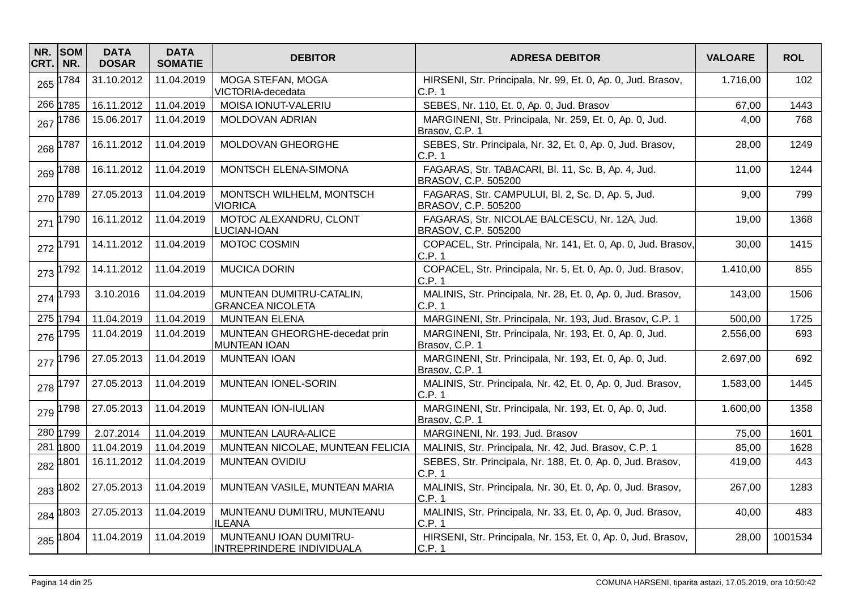| NR.<br>CRT. | <b>SOM</b><br>NR. | <b>DATA</b><br><b>DOSAR</b> | <b>DATA</b><br><b>SOMATIE</b> | <b>DEBITOR</b>                                       | <b>ADRESA DEBITOR</b>                                                     | <b>VALOARE</b> | <b>ROL</b> |
|-------------|-------------------|-----------------------------|-------------------------------|------------------------------------------------------|---------------------------------------------------------------------------|----------------|------------|
| 265         | 1784              | 31.10.2012                  | 11.04.2019                    | MOGA STEFAN, MOGA<br>VICTORIA-decedata               | HIRSENI, Str. Principala, Nr. 99, Et. 0, Ap. 0, Jud. Brasov,<br>C.P. 1    | 1.716,00       | 102        |
|             | 266 1785          | 16.11.2012                  | 11.04.2019                    | MOISA IONUT-VALERIU                                  | SEBES, Nr. 110, Et. 0, Ap. 0, Jud. Brasov                                 | 67,00          | 1443       |
| 267         | 1786              | 15.06.2017                  | 11.04.2019                    | MOLDOVAN ADRIAN                                      | MARGINENI, Str. Principala, Nr. 259, Et. 0, Ap. 0, Jud.<br>Brasov, C.P. 1 | 4,00           | 768        |
| 268         | 1787              | 16.11.2012                  | 11.04.2019                    | MOLDOVAN GHEORGHE                                    | SEBES, Str. Principala, Nr. 32, Et. 0, Ap. 0, Jud. Brasov,<br>C.P. 1      | 28,00          | 1249       |
| 269         | 1788              | 16.11.2012                  | 11.04.2019                    | MONTSCH ELENA-SIMONA                                 | FAGARAS, Str. TABACARI, Bl. 11, Sc. B, Ap. 4, Jud.<br>BRASOV, C.P. 505200 | 11,00          | 1244       |
| 270         | 1789              | 27.05.2013                  | 11.04.2019                    | MONTSCH WILHELM, MONTSCH<br><b>VIORICA</b>           | FAGARAS, Str. CAMPULUI, Bl. 2, Sc. D, Ap. 5, Jud.<br>BRASOV, C.P. 505200  | 9,00           | 799        |
| 271         | 1790              | 16.11.2012                  | 11.04.2019                    | MOTOC ALEXANDRU, CLONT<br>LUCIAN-IOAN                | FAGARAS, Str. NICOLAE BALCESCU, Nr. 12A, Jud.<br>BRASOV, C.P. 505200      | 19,00          | 1368       |
| 272         | 1791              | 14.11.2012                  | 11.04.2019                    | MOTOC COSMIN                                         | COPACEL, Str. Principala, Nr. 141, Et. 0, Ap. 0, Jud. Brasov,<br>C.P.1    | 30,00          | 1415       |
| 273         | 1792              | 14.11.2012                  | 11.04.2019                    | <b>MUCICA DORIN</b>                                  | COPACEL, Str. Principala, Nr. 5, Et. 0, Ap. 0, Jud. Brasov,<br>C.P. 1     | 1.410,00       | 855        |
| 274         | 1793              | 3.10.2016                   | 11.04.2019                    | MUNTEAN DUMITRU-CATALIN,<br><b>GRANCEA NICOLETA</b>  | MALINIS, Str. Principala, Nr. 28, Et. 0, Ap. 0, Jud. Brasov,<br>C.P.1     | 143,00         | 1506       |
|             | 275 1794          | 11.04.2019                  | 11.04.2019                    | <b>MUNTEAN ELENA</b>                                 | MARGINENI, Str. Principala, Nr. 193, Jud. Brasov, C.P. 1                  | 500,00         | 1725       |
| 276         | 1795              | 11.04.2019                  | 11.04.2019                    | MUNTEAN GHEORGHE-decedat prin<br><b>MUNTEAN IOAN</b> | MARGINENI, Str. Principala, Nr. 193, Et. 0, Ap. 0, Jud.<br>Brasov, C.P. 1 | 2.556,00       | 693        |
| 277         | 1796              | 27.05.2013                  | 11.04.2019                    | <b>MUNTEAN IOAN</b>                                  | MARGINENI, Str. Principala, Nr. 193, Et. 0, Ap. 0, Jud.<br>Brasov, C.P. 1 | 2.697,00       | 692        |
| 278         | 1797              | 27.05.2013                  | 11.04.2019                    | MUNTEAN IONEL-SORIN                                  | MALINIS, Str. Principala, Nr. 42, Et. 0, Ap. 0, Jud. Brasov,<br>C.P.1     | 1.583,00       | 1445       |
| 279         | 798               | 27.05.2013                  | 11.04.2019                    | MUNTEAN ION-IULIAN                                   | MARGINENI, Str. Principala, Nr. 193, Et. 0, Ap. 0, Jud.<br>Brasov, C.P. 1 | 1.600,00       | 1358       |
|             | 280 1799          | 2.07.2014                   | 11.04.2019                    | MUNTEAN LAURA-ALICE                                  | MARGINENI, Nr. 193, Jud. Brasov                                           | 75,00          | 1601       |
| 281         | 1800              | 11.04.2019                  | 11.04.2019                    | MUNTEAN NICOLAE, MUNTEAN FELICIA                     | MALINIS, Str. Principala, Nr. 42, Jud. Brasov, C.P. 1                     | 85,00          | 1628       |
|             | 282 1801          | 16.11.2012                  | 11.04.2019                    | MUNTEAN OVIDIU                                       | SEBES, Str. Principala, Nr. 188, Et. 0, Ap. 0, Jud. Brasov,<br>C.P.1      | 419,00         | 443        |
| 283         | 1802              | 27.05.2013                  | 11.04.2019                    | MUNTEAN VASILE, MUNTEAN MARIA                        | MALINIS, Str. Principala, Nr. 30, Et. 0, Ap. 0, Jud. Brasov,<br>C.P. 1    | 267,00         | 1283       |
|             | 284 1803          | 27.05.2013                  | 11.04.2019                    | MUNTEANU DUMITRU, MUNTEANU<br><b>ILEANA</b>          | MALINIS, Str. Principala, Nr. 33, Et. 0, Ap. 0, Jud. Brasov,<br>C.P.1     | 40,00          | 483        |
|             | 285 1804          | 11.04.2019                  | 11.04.2019                    | MUNTEANU IOAN DUMITRU-<br>INTREPRINDERE INDIVIDUALA  | HIRSENI, Str. Principala, Nr. 153, Et. 0, Ap. 0, Jud. Brasov,<br>C.P. 1   | 28,00          | 1001534    |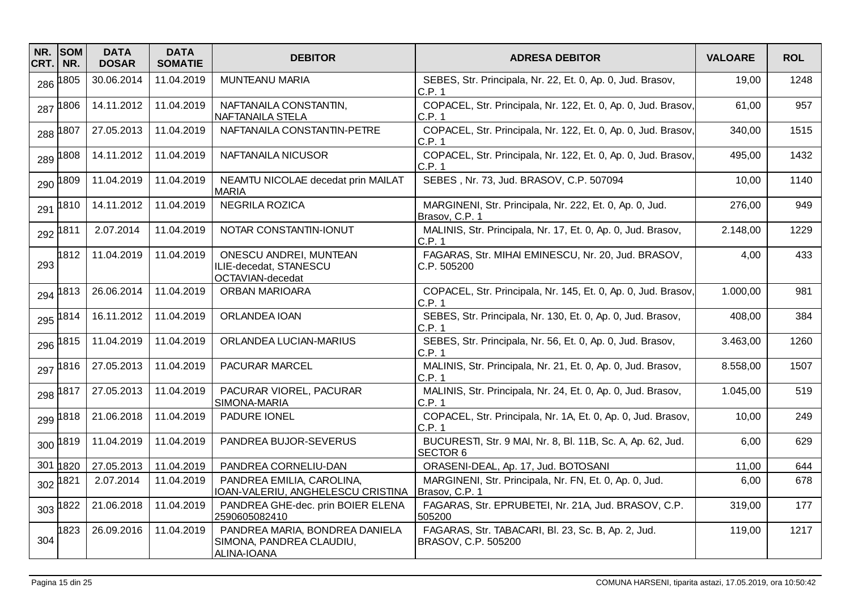| NR.<br>CRT. | <b>SOM</b><br>NR. | <b>DATA</b><br><b>DOSAR</b> | <b>DATA</b><br><b>SOMATIE</b> | <b>DEBITOR</b>                                                            | <b>ADRESA DEBITOR</b>                                                         | <b>VALOARE</b> | <b>ROL</b> |
|-------------|-------------------|-----------------------------|-------------------------------|---------------------------------------------------------------------------|-------------------------------------------------------------------------------|----------------|------------|
| 286         | 1805              | 30.06.2014                  | 11.04.2019                    | <b>MUNTEANU MARIA</b>                                                     | SEBES, Str. Principala, Nr. 22, Et. 0, Ap. 0, Jud. Brasov,<br>C.P. 1          | 19,00          | 1248       |
| 287         | 1806              | 14.11.2012                  | 11.04.2019                    | NAFTANAILA CONSTANTIN,<br><b>NAFTANAILA STELA</b>                         | COPACEL, Str. Principala, Nr. 122, Et. 0, Ap. 0, Jud. Brasov,<br>C.P. 1       | 61,00          | 957        |
|             | 288 1807          | 27.05.2013                  | 11.04.2019                    | NAFTANAILA CONSTANTIN-PETRE                                               | COPACEL, Str. Principala, Nr. 122, Et. 0, Ap. 0, Jud. Brasov,<br>C.P. 1       | 340,00         | 1515       |
| 289         | 1808              | 14.11.2012                  | 11.04.2019                    | NAFTANAILA NICUSOR                                                        | COPACEL, Str. Principala, Nr. 122, Et. 0, Ap. 0, Jud. Brasov,<br>C.P. 1       | 495,00         | 1432       |
| 290         | 1809              | 11.04.2019                  | 11.04.2019                    | NEAMTU NICOLAE decedat prin MAILAT<br><b>MARIA</b>                        | SEBES, Nr. 73, Jud. BRASOV, C.P. 507094                                       | 10,00          | 1140       |
| 291         | 1810              | 14.11.2012                  | 11.04.2019                    | <b>NEGRILA ROZICA</b>                                                     | MARGINENI, Str. Principala, Nr. 222, Et. 0, Ap. 0, Jud.<br>Brasov, C.P. 1     | 276,00         | 949        |
|             | 292 1811          | 2.07.2014                   | 11.04.2019                    | NOTAR CONSTANTIN-IONUT                                                    | MALINIS, Str. Principala, Nr. 17, Et. 0, Ap. 0, Jud. Brasov,<br>C.P. 1        | 2.148,00       | 1229       |
| 293         | 1812              | 11.04.2019                  | 11.04.2019                    | ONESCU ANDREI, MUNTEAN<br>ILIE-decedat, STANESCU<br>OCTAVIAN-decedat      | FAGARAS, Str. MIHAI EMINESCU, Nr. 20, Jud. BRASOV,<br>C.P.505200              | 4,00           | 433        |
| 294         | 1813              | 26.06.2014                  | 11.04.2019                    | <b>ORBAN MARIOARA</b>                                                     | COPACEL, Str. Principala, Nr. 145, Et. 0, Ap. 0, Jud. Brasov,<br>C.P. 1       | 1.000,00       | 981        |
| 295         | 1814              | 16.11.2012                  | 11.04.2019                    | ORLANDEA IOAN                                                             | SEBES, Str. Principala, Nr. 130, Et. 0, Ap. 0, Jud. Brasov,<br>C.P.1          | 408,00         | 384        |
| 296         | 1815              | 11.04.2019                  | 11.04.2019                    | ORLANDEA LUCIAN-MARIUS                                                    | SEBES, Str. Principala, Nr. 56, Et. 0, Ap. 0, Jud. Brasov,<br>C.P.1           | 3.463,00       | 1260       |
|             | 297 1816          | 27.05.2013                  | 11.04.2019                    | PACURAR MARCEL                                                            | MALINIS, Str. Principala, Nr. 21, Et. 0, Ap. 0, Jud. Brasov,<br>C.P.1         | 8.558,00       | 1507       |
|             | 298 1817          | 27.05.2013                  | 11.04.2019                    | PACURAR VIOREL, PACURAR<br>SIMONA-MARIA                                   | MALINIS, Str. Principala, Nr. 24, Et. 0, Ap. 0, Jud. Brasov,<br>C.P. 1        | 1.045,00       | 519        |
| 299         | 1818              | 21.06.2018                  | 11.04.2019                    | PADURE IONEL                                                              | COPACEL, Str. Principala, Nr. 1A, Et. 0, Ap. 0, Jud. Brasov,<br>C.P. 1        | 10,00          | 249        |
| 300         | 1819              | 11.04.2019                  | 11.04.2019                    | PANDREA BUJOR-SEVERUS                                                     | BUCURESTI, Str. 9 MAI, Nr. 8, Bl. 11B, Sc. A, Ap. 62, Jud.<br><b>SECTOR 6</b> | 6,00           | 629        |
| 301         | 1820              | 27.05.2013                  | 11.04.2019                    | PANDREA CORNELIU-DAN                                                      | ORASENI-DEAL, Ap. 17, Jud. BOTOSANI                                           | 11,00          | 644        |
|             | 302 1821          | 2.07.2014                   | 11.04.2019                    | PANDREA EMILIA, CAROLINA,<br>IOAN-VALERIU, ANGHELESCU CRISTINA            | MARGINENI, Str. Principala, Nr. FN, Et. 0, Ap. 0, Jud.<br>Brasov, C.P. 1      | 6,00           | 678        |
| 303         | 1822              | 21.06.2018                  | 11.04.2019                    | PANDREA GHE-dec. prin BOIER ELENA<br>2590605082410                        | FAGARAS, Str. EPRUBETEI, Nr. 21A, Jud. BRASOV, C.P.<br>505200                 | 319,00         | 177        |
| 304         | 1823              | 26.09.2016                  | 11.04.2019                    | PANDREA MARIA, BONDREA DANIELA<br>SIMONA, PANDREA CLAUDIU,<br>ALINA-IOANA | FAGARAS, Str. TABACARI, Bl. 23, Sc. B, Ap. 2, Jud.<br>BRASOV, C.P. 505200     | 119,00         | 1217       |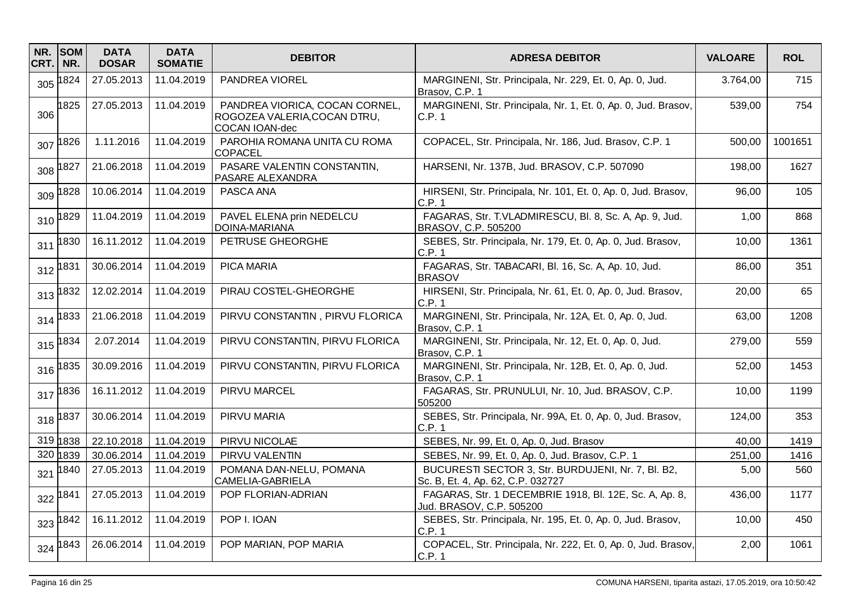| NR.<br>CRT. | <b>SOM</b><br>NR. | <b>DATA</b><br><b>DOSAR</b> | <b>DATA</b><br><b>SOMATIE</b> | <b>DEBITOR</b>                                                                   | <b>ADRESA DEBITOR</b>                                                                   | <b>VALOARE</b> | <b>ROL</b> |
|-------------|-------------------|-----------------------------|-------------------------------|----------------------------------------------------------------------------------|-----------------------------------------------------------------------------------------|----------------|------------|
| 305         | 1824              | 27.05.2013                  | 11.04.2019                    | PANDREA VIOREL                                                                   | MARGINENI, Str. Principala, Nr. 229, Et. 0, Ap. 0, Jud.<br>Brasov, C.P. 1               | 3.764,00       | 715        |
| 306         | 1825              | 27.05.2013                  | 11.04.2019                    | PANDREA VIORICA, COCAN CORNEL,<br>ROGOZEA VALERIA, COCAN DTRU,<br>COCAN IOAN-dec | MARGINENI, Str. Principala, Nr. 1, Et. 0, Ap. 0, Jud. Brasov,<br>C.P. 1                 | 539,00         | 754        |
| 307         | 1826              | 1.11.2016                   | 11.04.2019                    | PAROHIA ROMANA UNITA CU ROMA<br><b>COPACEL</b>                                   | COPACEL, Str. Principala, Nr. 186, Jud. Brasov, C.P. 1                                  | 500,00         | 1001651    |
| 308         | 1827              | 21.06.2018                  | 11.04.2019                    | PASARE VALENTIN CONSTANTIN,<br>PASARE ALEXANDRA                                  | HARSENI, Nr. 137B, Jud. BRASOV, C.P. 507090                                             | 198,00         | 1627       |
| 309         | 1828              | 10.06.2014                  | 11.04.2019                    | PASCA ANA                                                                        | HIRSENI, Str. Principala, Nr. 101, Et. 0, Ap. 0, Jud. Brasov,<br>C.P. 1                 | 96,00          | 105        |
| 310         | 1829              | 11.04.2019                  | 11.04.2019                    | PAVEL ELENA prin NEDELCU<br>DOINA-MARIANA                                        | FAGARAS, Str. T.VLADMIRESCU, Bl. 8, Sc. A, Ap. 9, Jud.<br>BRASOV, C.P. 505200           | 1,00           | 868        |
| 311         | 1830              | 16.11.2012                  | 11.04.2019                    | PETRUSE GHEORGHE                                                                 | SEBES, Str. Principala, Nr. 179, Et. 0, Ap. 0, Jud. Brasov,<br>C.P. 1                   | 10,00          | 1361       |
|             | 312 1831          | 30.06.2014                  | 11.04.2019                    | <b>PICA MARIA</b>                                                                | FAGARAS, Str. TABACARI, Bl. 16, Sc. A, Ap. 10, Jud.<br><b>BRASOV</b>                    | 86,00          | 351        |
| 313         | 1832              | 12.02.2014                  | 11.04.2019                    | PIRAU COSTEL-GHEORGHE                                                            | HIRSENI, Str. Principala, Nr. 61, Et. 0, Ap. 0, Jud. Brasov,<br>C.P.1                   | 20,00          | 65         |
| 314         | 1833              | 21.06.2018                  | 11.04.2019                    | PIRVU CONSTANTIN, PIRVU FLORICA                                                  | MARGINENI, Str. Principala, Nr. 12A, Et. 0, Ap. 0, Jud.<br>Brasov, C.P. 1               | 63,00          | 1208       |
| 315         | 1834              | 2.07.2014                   | 11.04.2019                    | PIRVU CONSTANTIN, PIRVU FLORICA                                                  | MARGINENI, Str. Principala, Nr. 12, Et. 0, Ap. 0, Jud.<br>Brasov, C.P. 1                | 279,00         | 559        |
| 316         | 835               | 30.09.2016                  | 11.04.2019                    | PIRVU CONSTANTIN, PIRVU FLORICA                                                  | MARGINENI, Str. Principala, Nr. 12B, Et. 0, Ap. 0, Jud.<br>Brasov, C.P. 1               | 52,00          | 1453       |
| 317         | 1836              | 16.11.2012                  | 11.04.2019                    | PIRVU MARCEL                                                                     | FAGARAS, Str. PRUNULUI, Nr. 10, Jud. BRASOV, C.P.<br>505200                             | 10,00          | 1199       |
| 318         | 1837              | 30.06.2014                  | 11.04.2019                    | PIRVU MARIA                                                                      | SEBES, Str. Principala, Nr. 99A, Et. 0, Ap. 0, Jud. Brasov,<br>C.P.1                    | 124,00         | 353        |
|             | 319 1838          | 22.10.2018                  | 11.04.2019                    | PIRVU NICOLAE                                                                    | SEBES, Nr. 99, Et. 0, Ap. 0, Jud. Brasov                                                | 40,00          | 1419       |
|             | 320 1839          | 30.06.2014                  | 11.04.2019                    | PIRVU VALENTIN                                                                   | SEBES, Nr. 99, Et. 0, Ap. 0, Jud. Brasov, C.P. 1                                        | 251,00         | 1416       |
| 321         | 1840              | 27.05.2013                  | 11.04.2019                    | POMANA DAN-NELU, POMANA<br>CAMELIA-GABRIELA                                      | BUCURESTI SECTOR 3, Str. BURDUJENI, Nr. 7, Bl. B2,<br>Sc. B, Et. 4, Ap. 62, C.P. 032727 | 5,00           | 560        |
| 322         | 1841              | 27.05.2013                  | 11.04.2019                    | POP FLORIAN-ADRIAN                                                               | FAGARAS, Str. 1 DECEMBRIE 1918, Bl. 12E, Sc. A, Ap. 8,<br>Jud. BRASOV, C.P. 505200      | 436,00         | 1177       |
| 323         | 1842              | 16.11.2012                  | 11.04.2019                    | POP I. IOAN                                                                      | SEBES, Str. Principala, Nr. 195, Et. 0, Ap. 0, Jud. Brasov,<br>C.P.1                    | 10,00          | 450        |
|             | 324 1843          | 26.06.2014                  | 11.04.2019                    | POP MARIAN, POP MARIA                                                            | COPACEL, Str. Principala, Nr. 222, Et. 0, Ap. 0, Jud. Brasov,<br>C.P. 1                 | 2,00           | 1061       |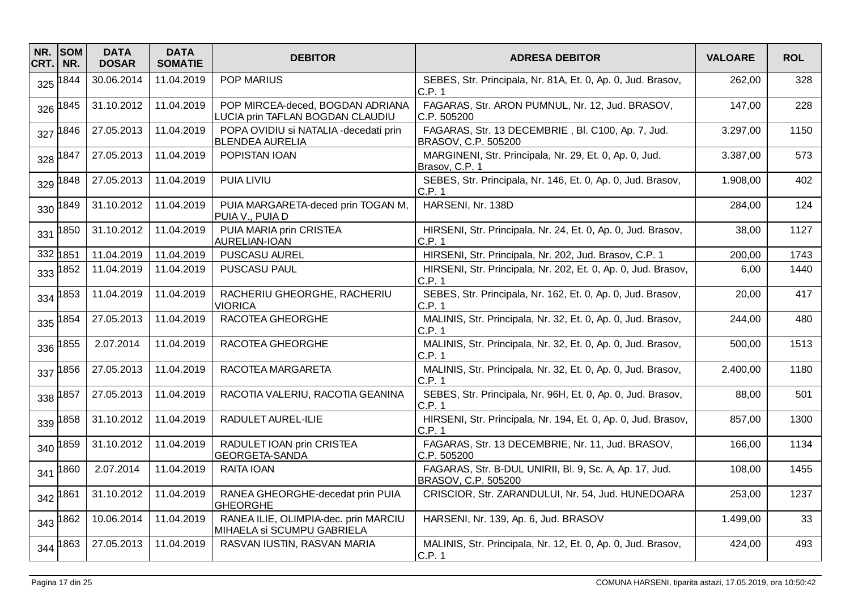| NR.<br>CRT. | <b>SOM</b><br>NR. | <b>DATA</b><br><b>DOSAR</b> | <b>DATA</b><br><b>SOMATIE</b> | <b>DEBITOR</b>                                                       | <b>ADRESA DEBITOR</b>                                                         | <b>VALOARE</b> | <b>ROL</b> |
|-------------|-------------------|-----------------------------|-------------------------------|----------------------------------------------------------------------|-------------------------------------------------------------------------------|----------------|------------|
| 325         | 1844              | 30.06.2014                  | 11.04.2019                    | <b>POP MARIUS</b>                                                    | SEBES, Str. Principala, Nr. 81A, Et. 0, Ap. 0, Jud. Brasov,<br>C.P.1          | 262,00         | 328        |
| 326         | 1845              | 31.10.2012                  | 11.04.2019                    | POP MIRCEA-deced, BOGDAN ADRIANA<br>LUCIA prin TAFLAN BOGDAN CLAUDIU | FAGARAS, Str. ARON PUMNUL, Nr. 12, Jud. BRASOV,<br>C.P. 505200                | 147,00         | 228        |
| 327         | 1846              | 27.05.2013                  | 11.04.2019                    | POPA OVIDIU si NATALIA - decedati prin<br><b>BLENDEA AURELIA</b>     | FAGARAS, Str. 13 DECEMBRIE, Bl. C100, Ap. 7, Jud.<br>BRASOV, C.P. 505200      | 3.297,00       | 1150       |
| 328         | 1847              | 27.05.2013                  | 11.04.2019                    | POPISTAN IOAN                                                        | MARGINENI, Str. Principala, Nr. 29, Et. 0, Ap. 0, Jud.<br>Brasov, C.P. 1      | 3.387,00       | 573        |
| 329         | 1848              | 27.05.2013                  | 11.04.2019                    | PUIA LIVIU                                                           | SEBES, Str. Principala, Nr. 146, Et. 0, Ap. 0, Jud. Brasov,<br>C.P. 1         | 1.908,00       | 402        |
| 330         | 1849              | 31.10.2012                  | 11.04.2019                    | PUIA MARGARETA-deced prin TOGAN M,<br>PUIA V., PUIA D                | HARSENI, Nr. 138D                                                             | 284,00         | 124        |
| 331         | 1850              | 31.10.2012                  | 11.04.2019                    | PUIA MARIA prin CRISTEA<br>AURELIAN-IOAN                             | HIRSENI, Str. Principala, Nr. 24, Et. 0, Ap. 0, Jud. Brasov,<br>C.P. 1        | 38,00          | 1127       |
|             | 332 1851          | 11.04.2019                  | 11.04.2019                    | PUSCASU AUREL                                                        | HIRSENI, Str. Principala, Nr. 202, Jud. Brasov, C.P. 1                        | 200,00         | 1743       |
| 333         | 1852              | 11.04.2019                  | 11.04.2019                    | PUSCASU PAUL                                                         | HIRSENI, Str. Principala, Nr. 202, Et. 0, Ap. 0, Jud. Brasov,<br>C.P.1        | 6,00           | 1440       |
| 334         | 1853              | 11.04.2019                  | 11.04.2019                    | RACHERIU GHEORGHE, RACHERIU<br><b>VIORICA</b>                        | SEBES, Str. Principala, Nr. 162, Et. 0, Ap. 0, Jud. Brasov,<br>C.P. 1         | 20,00          | 417        |
| 335         | 1854              | 27.05.2013                  | 11.04.2019                    | RACOTEA GHEORGHE                                                     | MALINIS, Str. Principala, Nr. 32, Et. 0, Ap. 0, Jud. Brasov,<br>C.P. 1        | 244,00         | 480        |
| 336         | 1855              | 2.07.2014                   | 11.04.2019                    | RACOTEA GHEORGHE                                                     | MALINIS, Str. Principala, Nr. 32, Et. 0, Ap. 0, Jud. Brasov,<br>C.P. 1        | 500,00         | 1513       |
| 337         | 1856              | 27.05.2013                  | 11.04.2019                    | RACOTEA MARGARETA                                                    | MALINIS, Str. Principala, Nr. 32, Et. 0, Ap. 0, Jud. Brasov,<br>C.P. 1        | 2.400,00       | 1180       |
| 338         | 1857              | 27.05.2013                  | 11.04.2019                    | RACOTIA VALERIU, RACOTIA GEANINA                                     | SEBES, Str. Principala, Nr. 96H, Et. 0, Ap. 0, Jud. Brasov,<br>C.P. 1         | 88,00          | 501        |
| 339         | 1858              | 31.10.2012                  | 11.04.2019                    | RADULET AUREL-ILIE                                                   | HIRSENI, Str. Principala, Nr. 194, Et. 0, Ap. 0, Jud. Brasov,<br>C.P.1        | 857,00         | 1300       |
| 340         | 1859              | 31.10.2012                  | 11.04.2019                    | RADULET IOAN prin CRISTEA<br>GEORGETA-SANDA                          | FAGARAS, Str. 13 DECEMBRIE, Nr. 11, Jud. BRASOV,<br>C.P. 505200               | 166,00         | 1134       |
| 341         | 1860              | 2.07.2014                   | 11.04.2019                    | <b>RAITA IOAN</b>                                                    | FAGARAS, Str. B-DUL UNIRII, Bl. 9, Sc. A, Ap. 17, Jud.<br>BRASOV, C.P. 505200 | 108,00         | 1455       |
|             | 342 1861          | 31.10.2012                  | 11.04.2019                    | RANEA GHEORGHE-decedat prin PUIA<br><b>GHEORGHE</b>                  | CRISCIOR, Str. ZARANDULUI, Nr. 54, Jud. HUNEDOARA                             | 253,00         | 1237       |
| 343         | 1862              | 10.06.2014                  | 11.04.2019                    | RANEA ILIE, OLIMPIA-dec. prin MARCIU<br>MIHAELA si SCUMPU GABRIELA   | HARSENI, Nr. 139, Ap. 6, Jud. BRASOV                                          | 1.499,00       | 33         |
|             | 344 1863          | 27.05.2013                  | 11.04.2019                    | RASVAN IUSTIN, RASVAN MARIA                                          | MALINIS, Str. Principala, Nr. 12, Et. 0, Ap. 0, Jud. Brasov,<br>C.P. 1        | 424,00         | 493        |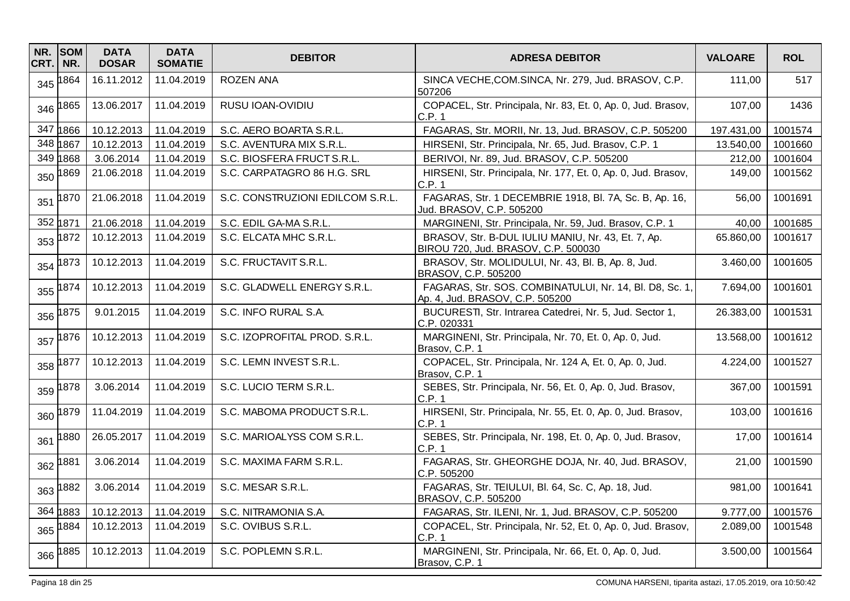| NR.<br>CRT. | <b>SOM</b><br>NR. | <b>DATA</b><br><b>DOSAR</b> | <b>DATA</b><br><b>SOMATIE</b> | <b>DEBITOR</b>                   | <b>ADRESA DEBITOR</b>                                                                      | <b>VALOARE</b> | <b>ROL</b> |
|-------------|-------------------|-----------------------------|-------------------------------|----------------------------------|--------------------------------------------------------------------------------------------|----------------|------------|
| 345         | 1864              | 16.11.2012                  | 11.04.2019                    | <b>ROZEN ANA</b>                 | SINCA VECHE, COM.SINCA, Nr. 279, Jud. BRASOV, C.P.<br>507206                               | 111,00         | 517        |
| 346         | 1865              | 13.06.2017                  | 11.04.2019                    | RUSU IOAN-OVIDIU                 | COPACEL, Str. Principala, Nr. 83, Et. 0, Ap. 0, Jud. Brasov,<br>C.P. 1                     | 107,00         | 1436       |
| 347         | 1866              | 10.12.2013                  | 11.04.2019                    | S.C. AERO BOARTA S.R.L.          | FAGARAS, Str. MORII, Nr. 13, Jud. BRASOV, C.P. 505200                                      | 197.431,00     | 1001574    |
| 348         | 1867              | 10.12.2013                  | 11.04.2019                    | S.C. AVENTURA MIX S.R.L.         | HIRSENI, Str. Principala, Nr. 65, Jud. Brasov, C.P. 1                                      | 13.540,00      | 1001660    |
| 349         | 1868              | 3.06.2014                   | 11.04.2019                    | S.C. BIOSFERA FRUCT S.R.L.       | BERIVOI, Nr. 89, Jud. BRASOV, C.P. 505200                                                  | 212,00         | 1001604    |
| 350         | 1869              | 21.06.2018                  | 11.04.2019                    | S.C. CARPATAGRO 86 H.G. SRL      | HIRSENI, Str. Principala, Nr. 177, Et. 0, Ap. 0, Jud. Brasov,<br>C.P. 1                    | 149,00         | 1001562    |
| 351         | 1870              | 21.06.2018                  | 11.04.2019                    | S.C. CONSTRUZIONI EDILCOM S.R.L. | FAGARAS, Str. 1 DECEMBRIE 1918, Bl. 7A, Sc. B, Ap. 16,<br>Jud. BRASOV, C.P. 505200         | 56,00          | 1001691    |
| 352 1871    |                   | 21.06.2018                  | 11.04.2019                    | S.C. EDIL GA-MA S.R.L.           | MARGINENI, Str. Principala, Nr. 59, Jud. Brasov, C.P. 1                                    | 40,00          | 1001685    |
| 353         | 1872              | 10.12.2013                  | 11.04.2019                    | S.C. ELCATA MHC S.R.L.           | BRASOV, Str. B-DUL IULIU MANIU, Nr. 43, Et. 7, Ap.<br>BIROU 720, Jud. BRASOV, C.P. 500030  | 65.860,00      | 1001617    |
| 354         | 1873              | 10.12.2013                  | 11.04.2019                    | S.C. FRUCTAVIT S.R.L.            | BRASOV, Str. MOLIDULUI, Nr. 43, Bl. B, Ap. 8, Jud.<br>BRASOV, C.P. 505200                  | 3.460,00       | 1001605    |
| 355         | 1874              | 10.12.2013                  | 11.04.2019                    | S.C. GLADWELL ENERGY S.R.L.      | FAGARAS, Str. SOS. COMBINATULUI, Nr. 14, Bl. D8, Sc. 1,<br>Ap. 4, Jud. BRASOV, C.P. 505200 | 7.694,00       | 1001601    |
| 356         | 1875              | 9.01.2015                   | 11.04.2019                    | S.C. INFO RURAL S.A.             | BUCURESTI, Str. Intrarea Catedrei, Nr. 5, Jud. Sector 1,<br>C.P. 020331                    | 26.383,00      | 1001531    |
| 357         | 1876              | 10.12.2013                  | 11.04.2019                    | S.C. IZOPROFITAL PROD. S.R.L.    | MARGINENI, Str. Principala, Nr. 70, Et. 0, Ap. 0, Jud.<br>Brasov, C.P. 1                   | 13.568,00      | 1001612    |
| 358         | 1877              | 10.12.2013                  | 11.04.2019                    | S.C. LEMN INVEST S.R.L.          | COPACEL, Str. Principala, Nr. 124 A, Et. 0, Ap. 0, Jud.<br>Brasov, C.P. 1                  | 4.224,00       | 1001527    |
| 359         | 1878              | 3.06.2014                   | 11.04.2019                    | S.C. LUCIO TERM S.R.L.           | SEBES, Str. Principala, Nr. 56, Et. 0, Ap. 0, Jud. Brasov,<br>C.P.1                        | 367,00         | 1001591    |
| 360         | 1879              | 11.04.2019                  | 11.04.2019                    | S.C. MABOMA PRODUCT S.R.L.       | HIRSENI, Str. Principala, Nr. 55, Et. 0, Ap. 0, Jud. Brasov,<br>C.P. 1                     | 103,00         | 1001616    |
| 361         | 1880              | 26.05.2017                  | 11.04.2019                    | S.C. MARIOALYSS COM S.R.L.       | SEBES, Str. Principala, Nr. 198, Et. 0, Ap. 0, Jud. Brasov,<br>C.P. 1                      | 17,00          | 1001614    |
| 362         | 1881              | 3.06.2014                   | 11.04.2019                    | S.C. MAXIMA FARM S.R.L.          | FAGARAS, Str. GHEORGHE DOJA, Nr. 40, Jud. BRASOV,<br>C.P. 505200                           | 21,00          | 1001590    |
| 363         | 1882              | 3.06.2014                   | 11.04.2019                    | S.C. MESAR S.R.L.                | FAGARAS, Str. TEIULUI, Bl. 64, Sc. C, Ap. 18, Jud.<br>BRASOV, C.P. 505200                  | 981,00         | 1001641    |
|             | 364 1883          | 10.12.2013                  | 11.04.2019                    | S.C. NITRAMONIA S.A.             | FAGARAS, Str. ILENI, Nr. 1, Jud. BRASOV, C.P. 505200                                       | 9.777,00       | 1001576    |
| 365         | 1884              | 10.12.2013                  | 11.04.2019                    | S.C. OVIBUS S.R.L.               | COPACEL, Str. Principala, Nr. 52, Et. 0, Ap. 0, Jud. Brasov,<br>C.P.1                      | 2.089,00       | 1001548    |
|             | 366 1885          | 10.12.2013                  | 11.04.2019                    | S.C. POPLEMN S.R.L.              | MARGINENI, Str. Principala, Nr. 66, Et. 0, Ap. 0, Jud.<br>Brasov, C.P. 1                   | 3.500,00       | 1001564    |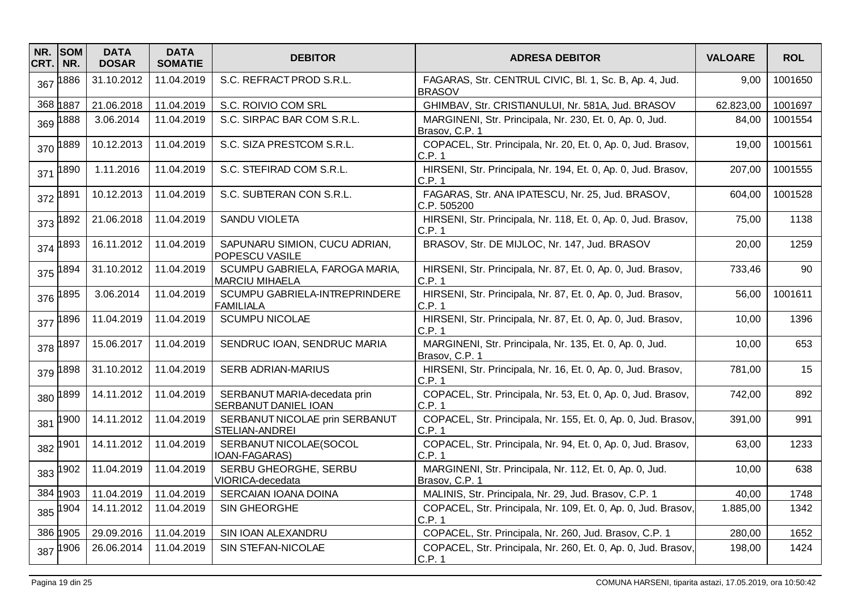| NR.<br>CRT. | <b>SOM</b><br>NR. | <b>DATA</b><br><b>DOSAR</b> | <b>DATA</b><br><b>SOMATIE</b> | <b>DEBITOR</b>                                              | <b>ADRESA DEBITOR</b>                                                     | <b>VALOARE</b> | <b>ROL</b> |
|-------------|-------------------|-----------------------------|-------------------------------|-------------------------------------------------------------|---------------------------------------------------------------------------|----------------|------------|
| 367         | 1886              | 31.10.2012                  | 11.04.2019                    | S.C. REFRACT PROD S.R.L.                                    | FAGARAS, Str. CENTRUL CIVIC, Bl. 1, Sc. B, Ap. 4, Jud.<br><b>BRASOV</b>   | 9,00           | 1001650    |
|             | 368 1887          | 21.06.2018                  | 11.04.2019                    | S.C. ROIVIO COM SRL                                         | GHIMBAV, Str. CRISTIANULUI, Nr. 581A, Jud. BRASOV                         | 62.823,00      | 1001697    |
| 369         | 1888              | 3.06.2014                   | 11.04.2019                    | S.C. SIRPAC BAR COM S.R.L.                                  | MARGINENI, Str. Principala, Nr. 230, Et. 0, Ap. 0, Jud.<br>Brasov, C.P. 1 | 84,00          | 1001554    |
| 370         | 1889              | 10.12.2013                  | 11.04.2019                    | S.C. SIZA PRESTCOM S.R.L.                                   | COPACEL, Str. Principala, Nr. 20, Et. 0, Ap. 0, Jud. Brasov,<br>C.P. 1    | 19,00          | 1001561    |
| 371         | 1890              | 1.11.2016                   | 11.04.2019                    | S.C. STEFIRAD COM S.R.L.                                    | HIRSENI, Str. Principala, Nr. 194, Et. 0, Ap. 0, Jud. Brasov,<br>C.P. 1   | 207,00         | 1001555    |
| 372         | 1891              | 10.12.2013                  | 11.04.2019                    | S.C. SUBTERAN CON S.R.L.                                    | FAGARAS, Str. ANA IPATESCU, Nr. 25, Jud. BRASOV,<br>C.P. 505200           | 604,00         | 1001528    |
| 373         | 1892              | 21.06.2018                  | 11.04.2019                    | SANDU VIOLETA                                               | HIRSENI, Str. Principala, Nr. 118, Et. 0, Ap. 0, Jud. Brasov,<br>C.P.1    | 75,00          | 1138       |
| 374         | 1893              | 16.11.2012                  | 11.04.2019                    | SAPUNARU SIMION, CUCU ADRIAN,<br><b>POPESCU VASILE</b>      | BRASOV, Str. DE MIJLOC, Nr. 147, Jud. BRASOV                              | 20,00          | 1259       |
| 375         | 1894              | 31.10.2012                  | 11.04.2019                    | SCUMPU GABRIELA, FAROGA MARIA,<br><b>MARCIU MIHAELA</b>     | HIRSENI, Str. Principala, Nr. 87, Et. 0, Ap. 0, Jud. Brasov,<br>C.P.1     | 733,46         | 90         |
| 376         | 1895              | 3.06.2014                   | 11.04.2019                    | SCUMPU GABRIELA-INTREPRINDERE<br><b>FAMILIALA</b>           | HIRSENI, Str. Principala, Nr. 87, Et. 0, Ap. 0, Jud. Brasov,<br>C.P. 1    | 56,00          | 1001611    |
| 377         | 1896              | 11.04.2019                  | 11.04.2019                    | <b>SCUMPU NICOLAE</b>                                       | HIRSENI, Str. Principala, Nr. 87, Et. 0, Ap. 0, Jud. Brasov,<br>C.P. 1    | 10,00          | 1396       |
| 378         | 1897              | 15.06.2017                  | 11.04.2019                    | SENDRUC IOAN, SENDRUC MARIA                                 | MARGINENI, Str. Principala, Nr. 135, Et. 0, Ap. 0, Jud.<br>Brasov, C.P. 1 | 10,00          | 653        |
| 379         | 1898              | 31.10.2012                  | 11.04.2019                    | <b>SERB ADRIAN-MARIUS</b>                                   | HIRSENI, Str. Principala, Nr. 16, Et. 0, Ap. 0, Jud. Brasov,<br>C.P.1     | 781,00         | 15         |
| 380         | 1899              | 14.11.2012                  | 11.04.2019                    | SERBANUT MARIA-decedata prin<br><b>SERBANUT DANIEL IOAN</b> | COPACEL, Str. Principala, Nr. 53, Et. 0, Ap. 0, Jud. Brasov,<br>C.P.1     | 742,00         | 892        |
| 381         | 1900              | 14.11.2012                  | 11.04.2019                    | SERBANUT NICOLAE prin SERBANUT<br>STELIAN-ANDREI            | COPACEL, Str. Principala, Nr. 155, Et. 0, Ap. 0, Jud. Brasov,<br>C.P.1    | 391,00         | 991        |
| 382         | 1901              | 14.11.2012                  | 11.04.2019                    | SERBANUT NICOLAE(SOCOL<br>IOAN-FAGARAS)                     | COPACEL, Str. Principala, Nr. 94, Et. 0, Ap. 0, Jud. Brasov,<br>C.P. 1    | 63,00          | 1233       |
| 383         | 1902              | 11.04.2019                  | 11.04.2019                    | SERBU GHEORGHE, SERBU<br>VIORICA-decedata                   | MARGINENI, Str. Principala, Nr. 112, Et. 0, Ap. 0, Jud.<br>Brasov, C.P. 1 | 10.00          | 638        |
|             | 384 1903          | 11.04.2019                  | 11.04.2019                    | SERCAIAN IOANA DOINA                                        | MALINIS, Str. Principala, Nr. 29, Jud. Brasov, C.P. 1                     | 40,00          | 1748       |
| 385         | 1904              | 14.11.2012                  | 11.04.2019                    | SIN GHEORGHE                                                | COPACEL, Str. Principala, Nr. 109, Et. 0, Ap. 0, Jud. Brasov,<br>C.P.1    | 1.885,00       | 1342       |
|             | 386 1905          | 29.09.2016                  | 11.04.2019                    | SIN IOAN ALEXANDRU                                          | COPACEL, Str. Principala, Nr. 260, Jud. Brasov, C.P. 1                    | 280,00         | 1652       |
| 387         | 1906              | 26.06.2014                  | 11.04.2019                    | SIN STEFAN-NICOLAE                                          | COPACEL, Str. Principala, Nr. 260, Et. 0, Ap. 0, Jud. Brasov,<br>C.P. 1   | 198,00         | 1424       |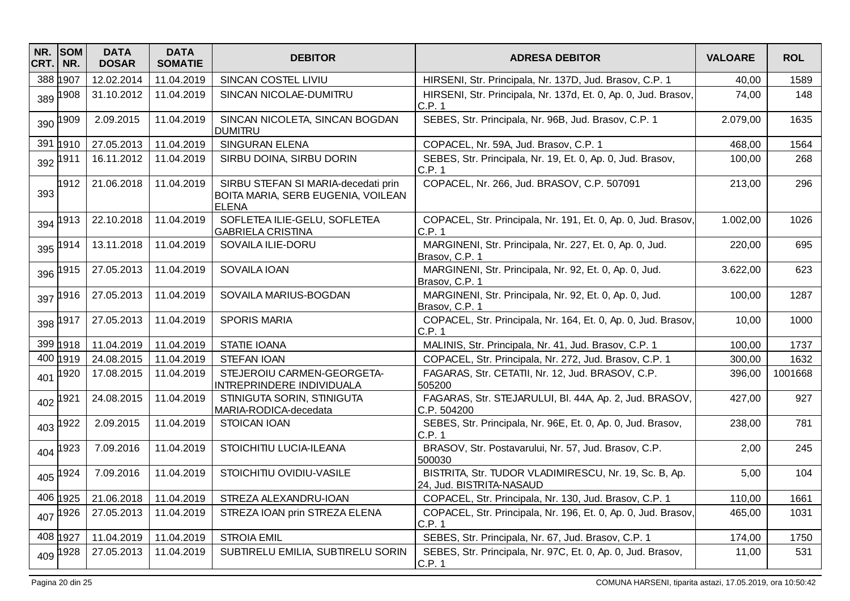| NR.<br>CRT. | <b>SOM</b><br>NR. | <b>DATA</b><br><b>DOSAR</b> | <b>DATA</b><br><b>SOMATIE</b> | <b>DEBITOR</b>                                                                            | <b>ADRESA DEBITOR</b>                                                             | <b>VALOARE</b> | <b>ROL</b> |
|-------------|-------------------|-----------------------------|-------------------------------|-------------------------------------------------------------------------------------------|-----------------------------------------------------------------------------------|----------------|------------|
|             | 388 1907          | 12.02.2014                  | 11.04.2019                    | SINCAN COSTEL LIVIU                                                                       | HIRSENI, Str. Principala, Nr. 137D, Jud. Brasov, C.P. 1                           | 40,00          | 1589       |
| 389         | 1908              | 31.10.2012                  | 11.04.2019                    | SINCAN NICOLAE-DUMITRU                                                                    | HIRSENI, Str. Principala, Nr. 137d, Et. 0, Ap. 0, Jud. Brasov,<br>C.P.1           | 74,00          | 148        |
| 390         | 1909              | 2.09.2015                   | 11.04.2019                    | SINCAN NICOLETA, SINCAN BOGDAN<br><b>DUMITRU</b>                                          | SEBES, Str. Principala, Nr. 96B, Jud. Brasov, C.P. 1                              | 2.079,00       | 1635       |
| 391         | 1910              | 27.05.2013                  | 11.04.2019                    | SINGURAN ELENA                                                                            | COPACEL, Nr. 59A, Jud. Brasov, C.P. 1                                             | 468,00         | 1564       |
| 392         | 1911              | 16.11.2012                  | 11.04.2019                    | SIRBU DOINA, SIRBU DORIN                                                                  | SEBES, Str. Principala, Nr. 19, Et. 0, Ap. 0, Jud. Brasov,<br>C.P. 1              | 100,00         | 268        |
| 393         | 1912              | 21.06.2018                  | 11.04.2019                    | SIRBU STEFAN SI MARIA-decedati prin<br>BOITA MARIA, SERB EUGENIA, VOILEAN<br><b>ELENA</b> | COPACEL, Nr. 266, Jud. BRASOV, C.P. 507091                                        | 213,00         | 296        |
| 394         | 1913              | 22.10.2018                  | 11.04.2019                    | SOFLETEA ILIE-GELU, SOFLETEA<br><b>GABRIELA CRISTINA</b>                                  | COPACEL, Str. Principala, Nr. 191, Et. 0, Ap. 0, Jud. Brasov,<br>C.P. 1           | 1.002,00       | 1026       |
| 395         | 1914              | 13.11.2018                  | 11.04.2019                    | SOVAILA ILIE-DORU                                                                         | MARGINENI, Str. Principala, Nr. 227, Et. 0, Ap. 0, Jud.<br>Brasov, C.P. 1         | 220,00         | 695        |
| 396         | 1915              | 27.05.2013                  | 11.04.2019                    | SOVAILA IOAN                                                                              | MARGINENI, Str. Principala, Nr. 92, Et. 0, Ap. 0, Jud.<br>Brasov, C.P. 1          | 3.622,00       | 623        |
| 397         | 1916              | 27.05.2013                  | 11.04.2019                    | SOVAILA MARIUS-BOGDAN                                                                     | MARGINENI, Str. Principala, Nr. 92, Et. 0, Ap. 0, Jud.<br>Brasov, C.P. 1          | 100,00         | 1287       |
| 398         | 1917              | 27.05.2013                  | 11.04.2019                    | <b>SPORIS MARIA</b>                                                                       | COPACEL, Str. Principala, Nr. 164, Et. 0, Ap. 0, Jud. Brasov,<br>C.P.1            | 10,00          | 1000       |
|             | 399 1918          | 11.04.2019                  | 11.04.2019                    | STATIE IOANA                                                                              | MALINIS, Str. Principala, Nr. 41, Jud. Brasov, C.P. 1                             | 100,00         | 1737       |
|             | 400 1919          | 24.08.2015                  | 11.04.2019                    | <b>STEFAN IOAN</b>                                                                        | COPACEL, Str. Principala, Nr. 272, Jud. Brasov, C.P. 1                            | 300,00         | 1632       |
| 401         | 1920              | 17.08.2015                  | 11.04.2019                    | STEJEROIU CARMEN-GEORGETA-<br>INTREPRINDERE INDIVIDUALA                                   | FAGARAS, Str. CETATII, Nr. 12, Jud. BRASOV, C.P.<br>505200                        | 396,00         | 1001668    |
| 402         | 1921              | 24.08.2015                  | 11.04.2019                    | STINIGUTA SORIN, STINIGUTA<br>MARIA-RODICA-decedata                                       | FAGARAS, Str. STEJARULUI, Bl. 44A, Ap. 2, Jud. BRASOV,<br>C.P. 504200             | 427,00         | 927        |
| 403         | 922               | 2.09.2015                   | 11.04.2019                    | STOICAN IOAN                                                                              | SEBES, Str. Principala, Nr. 96E, Et. 0, Ap. 0, Jud. Brasov,<br>C.P. 1             | 238,00         | 781        |
| 404         | 1923              | 7.09.2016                   | 11.04.2019                    | STOICHITIU LUCIA-ILEANA                                                                   | BRASOV, Str. Postavarului, Nr. 57, Jud. Brasov, C.P.<br>500030                    | 2,00           | 245        |
| 405         | 1924              | 7.09.2016                   | 11.04.2019                    | STOICHITIU OVIDIU-VASILE                                                                  | BISTRITA, Str. TUDOR VLADIMIRESCU, Nr. 19, Sc. B, Ap.<br>24, Jud. BISTRITA-NASAUD | 5,00           | 104        |
|             | 406 1925          | 21.06.2018                  | 11.04.2019                    | STREZA ALEXANDRU-IOAN                                                                     | COPACEL, Str. Principala, Nr. 130, Jud. Brasov, C.P. 1                            | 110,00         | 1661       |
| 407         | 1926              | 27.05.2013                  | 11.04.2019                    | STREZA IOAN prin STREZA ELENA                                                             | COPACEL, Str. Principala, Nr. 196, Et. 0, Ap. 0, Jud. Brasov,<br>C.P.1            | 465,00         | 1031       |
|             | 408 1927          | 11.04.2019                  | 11.04.2019                    | <b>STROIA EMIL</b>                                                                        | SEBES, Str. Principala, Nr. 67, Jud. Brasov, C.P. 1                               | 174,00         | 1750       |
| 409         | 1928              | 27.05.2013                  | 11.04.2019                    | SUBTIRELU EMILIA, SUBTIRELU SORIN                                                         | SEBES, Str. Principala, Nr. 97C, Et. 0, Ap. 0, Jud. Brasov,<br>C.P.1              | 11,00          | 531        |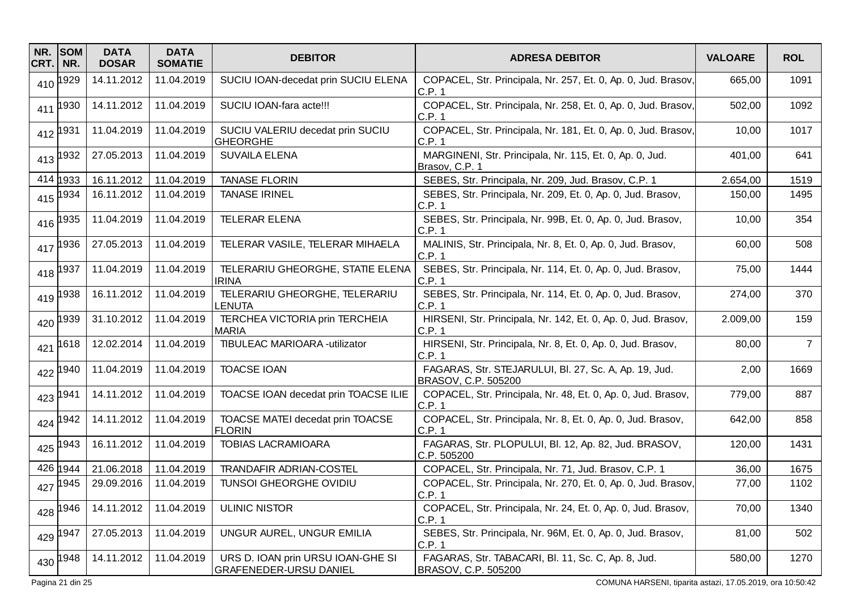| NR.<br>CRT. | <b>SOM</b><br>NR. | <b>DATA</b><br><b>DOSAR</b> | <b>DATA</b><br><b>SOMATIE</b> | <b>DEBITOR</b>                                                     | <b>ADRESA DEBITOR</b>                                                        | <b>VALOARE</b> | <b>ROL</b>     |
|-------------|-------------------|-----------------------------|-------------------------------|--------------------------------------------------------------------|------------------------------------------------------------------------------|----------------|----------------|
|             | 410 1929          | 14.11.2012                  | 11.04.2019                    | SUCIU IOAN-decedat prin SUCIU ELENA                                | COPACEL, Str. Principala, Nr. 257, Et. 0, Ap. 0, Jud. Brasov,<br>C.P.1       | 665,00         | 1091           |
| 411         | 1930              | 14.11.2012                  | 11.04.2019                    | SUCIU IOAN-fara acte!!!                                            | COPACEL, Str. Principala, Nr. 258, Et. 0, Ap. 0, Jud. Brasov,<br> C.P. 1     | 502,00         | 1092           |
|             | 412 1931          | 11.04.2019                  | 11.04.2019                    | SUCIU VALERIU decedat prin SUCIU<br><b>GHEORGHE</b>                | COPACEL, Str. Principala, Nr. 181, Et. 0, Ap. 0, Jud. Brasov,<br>C.P. 1      | 10,00          | 1017           |
|             | 413 1932          | 27.05.2013                  | 11.04.2019                    | <b>SUVAILA ELENA</b>                                               | MARGINENI, Str. Principala, Nr. 115, Et. 0, Ap. 0, Jud.<br>Brasov, C.P. 1    | 401,00         | 641            |
|             | 414 1933          | 16.11.2012                  | 11.04.2019                    | <b>TANASE FLORIN</b>                                               | SEBES, Str. Principala, Nr. 209, Jud. Brasov, C.P. 1                         | 2.654,00       | 1519           |
|             | 415 1934          | 16.11.2012                  | 11.04.2019                    | <b>TANASE IRINEL</b>                                               | SEBES, Str. Principala, Nr. 209, Et. 0, Ap. 0, Jud. Brasov,<br>C.P. 1        | 150,00         | 1495           |
|             | 416 1935          | 11.04.2019                  | 11.04.2019                    | <b>TELERAR ELENA</b>                                               | SEBES, Str. Principala, Nr. 99B, Et. 0, Ap. 0, Jud. Brasov,<br>C.P. 1        | 10,00          | 354            |
|             | 417 1936          | 27.05.2013                  | 11.04.2019                    | TELERAR VASILE, TELERAR MIHAELA                                    | MALINIS, Str. Principala, Nr. 8, Et. 0, Ap. 0, Jud. Brasov,<br>C.P. 1        | 60,00          | 508            |
|             | 418 1937          | 11.04.2019                  | 11.04.2019                    | TELERARIU GHEORGHE, STATIE ELENA<br><b>IRINA</b>                   | SEBES, Str. Principala, Nr. 114, Et. 0, Ap. 0, Jud. Brasov,<br>C.P.1         | 75,00          | 1444           |
| 419         | 1938              | 16.11.2012                  | 11.04.2019                    | TELERARIU GHEORGHE, TELERARIU<br>LENUTA                            | SEBES, Str. Principala, Nr. 114, Et. 0, Ap. 0, Jud. Brasov,<br> C.P. 1       | 274,00         | 370            |
| 420         | 1939              | 31.10.2012                  | 11.04.2019                    | TERCHEA VICTORIA prin TERCHEIA<br><b>MARIA</b>                     | HIRSENI, Str. Principala, Nr. 142, Et. 0, Ap. 0, Jud. Brasov,<br>C.P. 1      | 2.009,00       | 159            |
| 421         | 1618              | 12.02.2014                  | 11.04.2019                    | <b>TIBULEAC MARIOARA -utilizator</b>                               | HIRSENI, Str. Principala, Nr. 8, Et. 0, Ap. 0, Jud. Brasov,<br>C.P. 1        | 80,00          | $\overline{7}$ |
|             | 422 1940          | 11.04.2019                  | 11.04.2019                    | <b>TOACSE IOAN</b>                                                 | FAGARAS, Str. STEJARULUI, Bl. 27, Sc. A, Ap. 19, Jud.<br>BRASOV, C.P. 505200 | 2,00           | 1669           |
|             | 423 1941          | 14.11.2012                  | 11.04.2019                    | TOACSE IOAN decedat prin TOACSE ILIE                               | COPACEL, Str. Principala, Nr. 48, Et. 0, Ap. 0, Jud. Brasov,<br>C.P. 1       | 779,00         | 887            |
|             | 424 1942          | 14.11.2012                  | 11.04.2019                    | TOACSE MATEI decedat prin TOACSE<br><b>FLORIN</b>                  | COPACEL, Str. Principala, Nr. 8, Et. 0, Ap. 0, Jud. Brasov,<br>C.P. 1        | 642,00         | 858            |
|             | 425 1943          | 16.11.2012                  | 11.04.2019                    | <b>TOBIAS LACRAMIOARA</b>                                          | FAGARAS, Str. PLOPULUI, Bl. 12, Ap. 82, Jud. BRASOV,<br>C.P. 505200          | 120,00         | 1431           |
|             | 426 1944          | 21.06.2018                  | 11.04.2019                    | <b>TRANDAFIR ADRIAN-COSTEL</b>                                     | COPACEL, Str. Principala, Nr. 71, Jud. Brasov, C.P. 1                        | 36,00          | 1675           |
|             | 427 1945          | 29.09.2016                  | 11.04.2019                    | <b>TUNSOI GHEORGHE OVIDIU</b>                                      | COPACEL, Str. Principala, Nr. 270, Et. 0, Ap. 0, Jud. Brasov,<br>C.P. 1      | 77,00          | 1102           |
|             | 428 1946          | 14.11.2012                  | 11.04.2019                    | <b>ULINIC NISTOR</b>                                               | COPACEL, Str. Principala, Nr. 24, Et. 0, Ap. 0, Jud. Brasov,<br>C.P. 1       | 70,00          | 1340           |
|             | 429 1947          | 27.05.2013                  | 11.04.2019                    | UNGUR AUREL, UNGUR EMILIA                                          | SEBES, Str. Principala, Nr. 96M, Et. 0, Ap. 0, Jud. Brasov,<br>C.P. 1        | 81,00          | 502            |
|             | 430 1948          | 14.11.2012                  | 11.04.2019                    | URS D. IOAN prin URSU IOAN-GHE SI<br><b>GRAFENEDER-URSU DANIEL</b> | FAGARAS, Str. TABACARI, Bl. 11, Sc. C, Ap. 8, Jud.<br>BRASOV, C.P. 505200    | 580,00         | 1270           |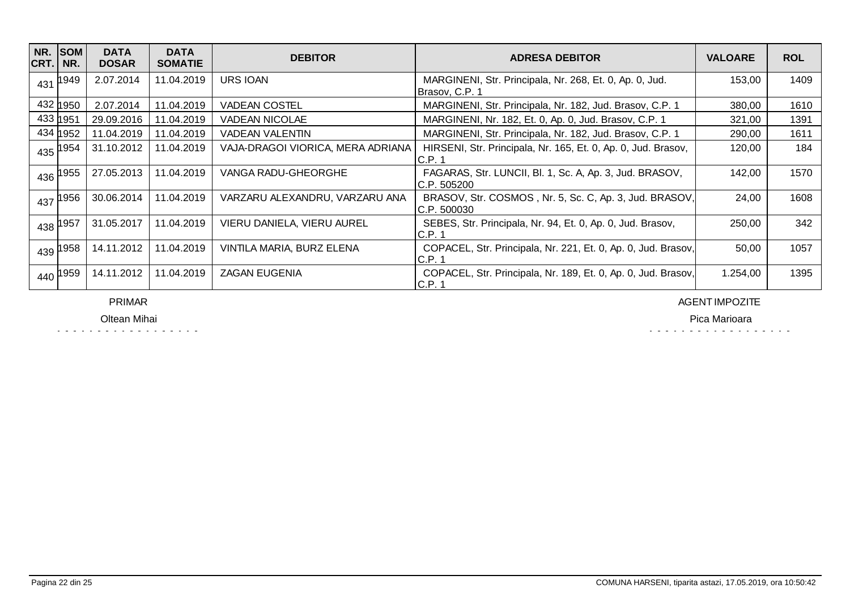| NR.<br> CRT. | SOM<br>NR.            | <b>DATA</b><br><b>DOSAR</b> | <b>DATA</b><br><b>SOMATIE</b> | <b>DEBITOR</b>                    | <b>ADRESA DEBITOR</b>                                                     | <b>VALOARE</b> | <b>ROL</b> |
|--------------|-----------------------|-----------------------------|-------------------------------|-----------------------------------|---------------------------------------------------------------------------|----------------|------------|
| 431          | 1949                  | 2.07.2014                   | 11.04.2019                    | URS IOAN                          | MARGINENI, Str. Principala, Nr. 268, Et. 0, Ap. 0, Jud.<br>Brasov, C.P. 1 | 153,00         | 1409       |
|              | 432 1950              | 2.07.2014                   | 11.04.2019                    | <b>VADEAN COSTEL</b>              | MARGINENI, Str. Principala, Nr. 182, Jud. Brasov, C.P. 1                  | 380,00         | 1610       |
|              | 433 1951              | 29.09.2016                  | 11.04.2019                    | VADEAN NICOLAE                    | MARGINENI, Nr. 182, Et. 0, Ap. 0, Jud. Brasov, C.P. 1                     | 321,00         | 1391       |
|              | 434 1952              | 11.04.2019                  | 11.04.2019                    | <b>VADEAN VALENTIN</b>            | MARGINENI, Str. Principala, Nr. 182, Jud. Brasov, C.P. 1                  | 290,00         | 1611       |
|              | 435 1954              | 31.10.2012                  | 11.04.2019                    | VAJA-DRAGOI VIORICA, MERA ADRIANA | HIRSENI, Str. Principala, Nr. 165, Et. 0, Ap. 0, Jud. Brasov,<br>C.P. 1   | 120,00         | 184        |
|              | $436$ <sup>1955</sup> | 27.05.2013                  | 11.04.2019                    | VANGA RADU-GHEORGHE               | FAGARAS, Str. LUNCII, Bl. 1, Sc. A, Ap. 3, Jud. BRASOV,<br>C.P. 505200    | 142,00         | 1570       |
|              | $437$ 1956            | 30.06.2014                  | 11.04.2019                    | VARZARU ALEXANDRU, VARZARU ANA    | BRASOV, Str. COSMOS, Nr. 5, Sc. C, Ap. 3, Jud. BRASOV,<br>C.P. 500030     | 24,00          | 1608       |
|              | 438 1957              | 31.05.2017                  | 11.04.2019                    | VIERU DANIELA, VIERU AUREL        | SEBES, Str. Principala, Nr. 94, Et. 0, Ap. 0, Jud. Brasov,<br>C.P.1       | 250,00         | 342        |
|              | 439 1958              | 14.11.2012                  | 11.04.2019                    | VINTILA MARIA, BURZ ELENA         | COPACEL, Str. Principala, Nr. 221, Et. 0, Ap. 0, Jud. Brasov,<br>C.P.1    | 50,00          | 1057       |
|              | 440 1959              | 14.11.2012                  | 11.04.2019                    | <b>ZAGAN EUGENIA</b>              | COPACEL, Str. Principala, Nr. 189, Et. 0, Ap. 0, Jud. Brasov,<br>IC.P. 1  | 1.254,00       | 1395       |

PRIMAR

Oltean Mihai

AGENT IMPOZITE

Pica Marioara